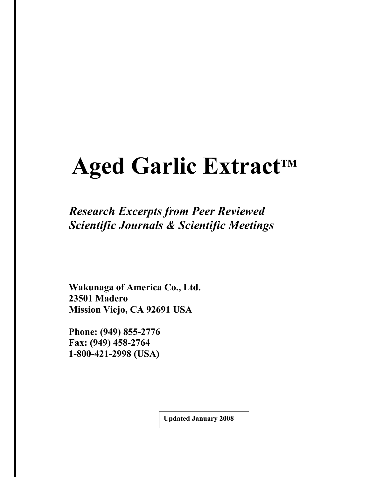# **Aged Garlic Extract<sup>™</sup>**

# *Research Excerpts from Peer Reviewed Scientific Journals & Scientific Meetings*

 **Wakunaga of America Co., Ltd. 23501 Madero Mission Viejo, CA 92691 USA** 

 **Phone: (949) 855-2776 Fax: (949) 458-2764 1-800-421-2998 (USA)** 

 **Updated January 2008**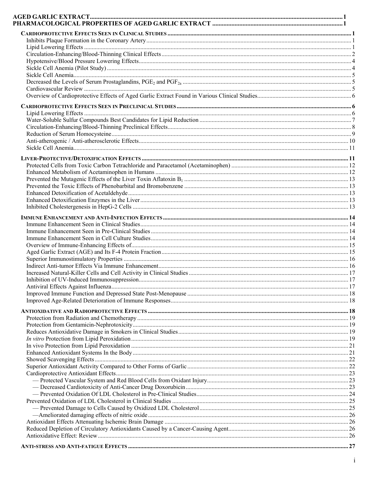| $\cdot 27$ |
|------------|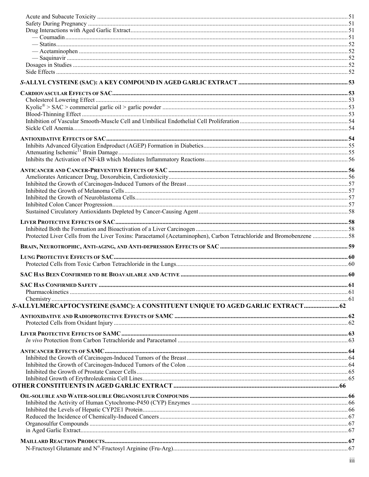| Protected Liver Cells from the Liver Toxins: Paracetamol (Acetaminophen), Carbon Tetrachloride and Bromobenzene  58 |  |
|---------------------------------------------------------------------------------------------------------------------|--|
|                                                                                                                     |  |
|                                                                                                                     |  |
|                                                                                                                     |  |
|                                                                                                                     |  |
|                                                                                                                     |  |
|                                                                                                                     |  |
|                                                                                                                     |  |
|                                                                                                                     |  |
| S-ALLYLMERCAPTOCYSTEINE (SAMC): A CONSTITUENT UNIQUE TO AGED GARLIC EXTRACT 62                                      |  |
|                                                                                                                     |  |
|                                                                                                                     |  |
|                                                                                                                     |  |
|                                                                                                                     |  |
|                                                                                                                     |  |
|                                                                                                                     |  |
|                                                                                                                     |  |
|                                                                                                                     |  |
|                                                                                                                     |  |
|                                                                                                                     |  |
|                                                                                                                     |  |
|                                                                                                                     |  |
|                                                                                                                     |  |
|                                                                                                                     |  |
|                                                                                                                     |  |
|                                                                                                                     |  |
|                                                                                                                     |  |
|                                                                                                                     |  |
|                                                                                                                     |  |
|                                                                                                                     |  |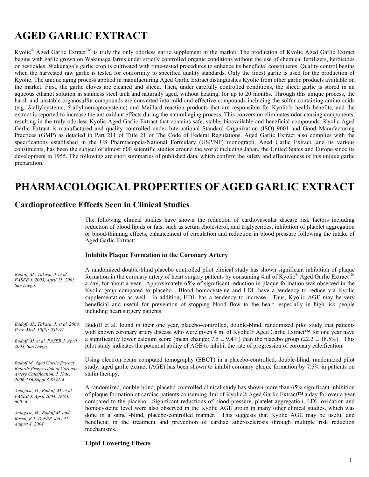# **AGED GARLIC EXTRACT**

Kyolic<sup>®</sup> Aged Garlic Extract<sup>™</sup> is truly the only odorless garlic supplement in the market. The production of Kyolic Aged Garlic Extract begins with garlic grown on Wakunaga farms under strictly controlled organic conditions without the use of chemical fertilizers, herbicides or pesticides. Wakunaga's garlic crop is cultivated with time-tested procedures to enhance its beneficial constituents. Quality control begins when the harvested raw garlic is tested for conformity to specified quality standards. Only the finest garlic is used for the production of Kyolic. The unique aging process applied in manufacturing Aged Garlic Extract distinguishes Kyolic from other garlic products available on the market. First, the garlic cloves are cleaned and sliced. Then, under carefully controlled conditions, the sliced garlic is stored in an aqueous ethanol solution in stainless steel tank and naturally aged, without heating, for up to 20 months. Through this unique process, the harsh and unstable organosulfur compounds are converted into mild and effective compounds including the sulfur-containing amino acids (e.g. *S-*allylcysteine, *S-*allylmercaptocysteine) and Maillard reaction products that are responsible for Kyolic's health benefits, and the extract is reported to increase the antioxidant effects during the natural aging process. This conversion eliminates odor-causing components, resulting in the truly odorless Kyolic Aged Garlic Extract that contains safe, stable, bioavailable and beneficial compounds. Kyolic Aged Garlic Extract is manufactured and quality controlled under International Standard Organization (ISO) 9001 and Good Manufacturing Practices (GMP) as detailed in Part 211 of Title 21 of The Code of Federal Regulations. Aged Garlic Extract also complies with the specifications established in the US Pharmacopeia/National Formulary (USP/NF) monograph. Aged Garlic Extract, and its various constituents, has been the subject of almost 600 scientific studies around the world including Japan, the United States and Europe since its development in 1955. The following are short summaries of published data, which confirm the safety and effectiveness of this unique garlic preparation.

# **PHARMACOLOGICAL PROPERTIES OF AGED GARLIC EXTRACT**

### **Cardioprotective Effects Seen in Clinical Studies**

|                                                                                                                                                         | The following clinical studies have shown the reduction of cardiovascular disease risk factors including<br>reduction of blood lipids or fats, such as serum cholesterol, and triglycerides, inhibition of platelet aggregation<br>or blood-thinning effects, enhancement of circulation and reduction in blood pressure following the intake of<br>Aged Garlic Extract:<br><b>Inhibits Plaque Formation in the Coronary Artery</b>                                                                                                                                                                                                                                                                   |
|---------------------------------------------------------------------------------------------------------------------------------------------------------|-------------------------------------------------------------------------------------------------------------------------------------------------------------------------------------------------------------------------------------------------------------------------------------------------------------------------------------------------------------------------------------------------------------------------------------------------------------------------------------------------------------------------------------------------------------------------------------------------------------------------------------------------------------------------------------------------------|
| Budoff, M., Takasu, J. et al.<br>FASEB J. 2003, April 15, 2003,<br>San Diego.                                                                           | A randomized double-blind placebo controlled pilot clinical study has shown significant inhibition of plaque<br>formation in the coronary artery of heart surgery patients by consuming 4ml of Kyolic® Aged Garlic Extract™<br>a day, for about a year. Approximately 65% of significant reduction in plaque formation was observed in the<br>Kyolic goup compared to placebo. Blood homocysteine and LDL have a tendency to reduce via Kyolic<br>supplementation as well. In addition, HDL has a tendency to increase. Thus, Kyolic AGE may be very<br>beneficial and useful for prevention of stopping blood flow to the heart, especially in high-risk people<br>including heart surgery patients. |
| Budoff, M., Takasu, J. et al. 2004.<br>Prev. Med. 39(5): 985-91.<br>Budoff, M. et al. FASEB J. April<br>2003, San Diego.                                | Budoff et al. found in their one year, placebo-controlled, double-blind, randomized pilot study that patients<br>with known coronary artery disease who were given 4 ml of Kyolic® Aged Garlic Extract™ for one year have<br>a significantly lower calcium score (mean change: $7.5 \pm 9.4\%$ ) than the placebo group (22.2 $\pm$ 18.5%). This<br>pilot study indicates the potential ability of AGE to inhibit the rate of progression of coronary calcification.                                                                                                                                                                                                                                  |
| <b>Budoff M. Aged Garlic Extract</b><br>Retards Progression of Coronary<br>Artery Calcification. J. Nutr.<br>2006;136 Suppl 3:S741-4.                   | Using electron beam computed tomography (EBCT) in a placebo-controlled, double-blind, randomized pilot<br>study, aged garlic extract (AGE) has been shown to inhibit coronary plaque formation by 7.5% in patients on<br>statin therapy.                                                                                                                                                                                                                                                                                                                                                                                                                                                              |
| Amagase, H., Budoff, M. et al.<br>FASEB J. April 2004, 18(6):<br>600:6.<br>Amagase, H., Budoff M. and<br>Rosen, R.T. ICNPR. July 31-<br>August 4, 2004. | A randomized, double-blind, placebo-controlled clinical study has shown more than 65% significant inhibition<br>of plaque formation of cardiac patients consuming 4ml of Kyolic® Aged Garlic Extract™ a day for over a year<br>compared to the placebo. Significant reductions of blood pressure, platelet aggregation, LDL oxidation and<br>homocysteine level were also observed in the Kyolic AGE group in many other clinical studies, which was<br>done in a same -blind, placebo-controlled manner. This suggests that Kyolic AGE may be useful and<br>beneficial in the treatment and prevention of cardiac atherosclerosis through multiple risk reduction<br>mechanisms.                     |

**Lipid Lowering Effects**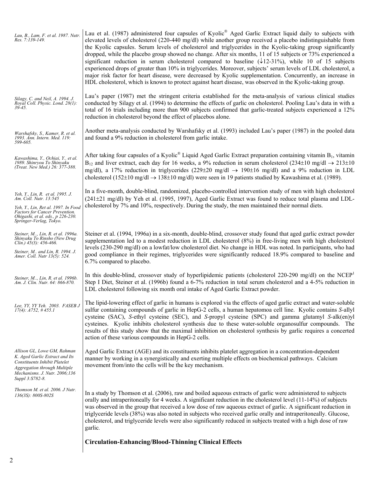| Lau, B., Lam, F. et al. 1987. Nutr.<br>Res. 7:139-149.                                                                                                                                              | Lau et al. (1987) administered four capsules of Kyolic® Aged Garlic Extract liquid daily to subjects with<br>elevated levels of cholesterol (220-440 mg/dl) while another group received a placebo indistinguishable from<br>the Kyolic capsules. Serum levels of cholesterol and triglycerides in the Kyolic-taking group significantly<br>dropped, while the placebo group showed no change. After six months, 11 of 15 subjects or 73% experienced a<br>significant reduction in serum cholesterol compared to baseline $(\sqrt{12-31\%})$ , while 10 of 15 subjects<br>experienced drops of greater than 10% in triglycerides. Moreover, subjects' serum levels of LDL cholesterol, a<br>major risk factor for heart disease, were decreased by Kyolic supplementation. Concurrently, an increase in<br>HDL cholesterol, which is known to protect against heart disease, was observed in the Kyolic-taking group. |
|-----------------------------------------------------------------------------------------------------------------------------------------------------------------------------------------------------|------------------------------------------------------------------------------------------------------------------------------------------------------------------------------------------------------------------------------------------------------------------------------------------------------------------------------------------------------------------------------------------------------------------------------------------------------------------------------------------------------------------------------------------------------------------------------------------------------------------------------------------------------------------------------------------------------------------------------------------------------------------------------------------------------------------------------------------------------------------------------------------------------------------------|
| Silagy, C. and Neil, A. 1994. J.<br>Royal Coll. Physic. Lond. 28(1):<br>$39 - 45.$                                                                                                                  | Lau's paper (1987) met the stringent criteria established for the meta-analysis of various clinical studies<br>conducted by Silagy et al. (1994) to determine the effects of garlic on cholesterol. Pooling Lau's data in with a<br>total of 16 trials including more than 900 subjects confirmed that garlic-treated subjects experienced a 12%<br>reduction in cholesterol beyond the effect of placebos alone.                                                                                                                                                                                                                                                                                                                                                                                                                                                                                                      |
| Warshafsky, S., Kamer, R. et al.<br>1993. Ann. Intern. Med. 119:<br>599-605.                                                                                                                        | Another meta-analysis conducted by Warshafsky et al. (1993) included Lau's paper (1987) in the pooled data<br>and found a 9% reduction in cholesterol from garlic intake.                                                                                                                                                                                                                                                                                                                                                                                                                                                                                                                                                                                                                                                                                                                                              |
| Kawashima, Y., Ochiai, Y., et al.<br>1989. Shinryou To Shinyaku<br>(Treat. New Med.) 26: 377-388.                                                                                                   | After taking four capsules of a Kyolic <sup>®</sup> Liquid Aged Garlic Extract preparation containing vitamin $B_1$ , vitamin<br>$B_{12}$ and liver extract, each day for 16 weeks, a 9% reduction in serum cholesterol (234±10 mg/dl $\rightarrow$ 213±10<br>mg/dl), a 17% reduction in triglycerides (229±20 mg/dl $\rightarrow$ 190±16 mg/dl) and a 9% reduction in LDL<br>cholesterol (152±10 mg/dl $\rightarrow$ 138±10 mg/dl) were seen in 19 patients studied by Kawashima et al. (1989).                                                                                                                                                                                                                                                                                                                                                                                                                       |
| Yeh, Y., Lin, R. et al. 1995. J.<br>Am. Coll. Nutr. 13:545<br>Yeh, Y., Lin, Ret al. 1997. In Food<br>Factors for Cancer Prevention.<br>Ohigashi, et al. eds., p 226-230.<br>Springer-Verlag, Tokyo. | In a five-month, double-blind, randomized, placebo-controlled intervention study of men with high cholesterol<br>(241±21 mg/dl) by Yeh et al. (1995, 1997), Aged Garlic Extract was found to reduce total plasma and LDL-<br>cholesterol by 7% and 10%, respectively. During the study, the men maintained their normal diets.                                                                                                                                                                                                                                                                                                                                                                                                                                                                                                                                                                                         |
| Steiner, M, Lin, R. et al. 1996a.<br>Shinyaku To Rinsho (New Drug<br>Clin.) $45(3)$ : $456-466$ .<br>Steiner, M and Lin, R. 1994. J.<br>Amer. Coll. Nutr 13(5): 524.                                | Steiner et al. (1994, 1996a) in a six-month, double-blind, crossover study found that aged garlic extract powder<br>supplementation led to a modest reduction in LDL cholesterol (8%) in free-living men with high cholesterol<br>levels (230-290 mg/dl) on a lowfat/low cholesterol diet. No change in HDL was noted. In participants, who had<br>good compliance in their regimes, triglycerides were significantly reduced 18.9% compared to baseline and<br>6.7% compared to placebo.                                                                                                                                                                                                                                                                                                                                                                                                                              |
| Steiner, M, Lin, R. et al. 1996b.<br>Am. J. Clin. Nutr. 64: 866-870.                                                                                                                                | In this double-blind, crossover study of hyperlipidemic patients (cholesterol 220-290 mg/dl) on the NCEP <sup>1</sup><br>Step I Diet, Steiner et al. (1996b) found a 6-7% reduction in total serum cholesterol and a 4-5% reduction in<br>LDL cholesterol following six month oral intake of Aged Garlic Extract powder.                                                                                                                                                                                                                                                                                                                                                                                                                                                                                                                                                                                               |
| Lee, YY, YY Yeh. 2003. FASEB J<br>$17(4)$ : $A752$ , #455.1                                                                                                                                         | The lipid-lowering effect of garlic in humans is explored via the effects of aged garlic extract and water-soluble<br>sulfur containing compounds of garlic in HepG-2 cells, a human hepatomoa cell line. Kyolic contains S-allyl<br>cysteine (SAC), S-ethyl cysteine (SEC), and S-propyl cysteine (SPC) and gamma glutamyl S-alk(en)yl<br>cysteines. Kyolic inhibits cholesterol synthesis due to these water-soluble organosulfur compounds. The<br>results of this study show that the maximal inhibition on cholesterol synthesis by garlic requires a concerted<br>action of these various compounds in HepG-2 cells.                                                                                                                                                                                                                                                                                             |
| Allison GL, Lowe GM, Rahman<br>K. Aged Garlic Extract and Its<br>Constituents Inhibit Platelet<br>Aggregation through Multiple<br>Mechanisms. J. Nutr. 2006;136<br>Suppl 3:S782-8.                  | Aged Garlic Extract (AGE) and its constituents inhibits platelet aggregation in a concentration-dependent<br>manner by working in a synergistically and exerting multiple effects on biochemical pathways. Calcium<br>movement from/into the cells will be the key mechanism.                                                                                                                                                                                                                                                                                                                                                                                                                                                                                                                                                                                                                                          |
| Thomson M. et al. 2006. J Nutr.<br>136(3S): 800S-802S                                                                                                                                               | In a study by Thomson et al. (2006), raw and boiled aqueous extracts of garlic were administered to subjects<br>orally and intraperitoneally for 4 weeks. A significant reduction in the cholesterol level (11-14%) of subjects<br>was observed in the group that received a low dose of raw aqueous extract of garlic. A significant reduction in<br>triglyceride levels (38%) was also noted in subjects who received garlic orally and intraperitoneally. Glucose,<br>cholesterol, and triglyceride levels were also significantly reduced in subjects treated with a high dose of raw<br>garlic.                                                                                                                                                                                                                                                                                                                   |
|                                                                                                                                                                                                     | <b>Circulation-Enhancing/Blood-Thinning Clinical Effects</b>                                                                                                                                                                                                                                                                                                                                                                                                                                                                                                                                                                                                                                                                                                                                                                                                                                                           |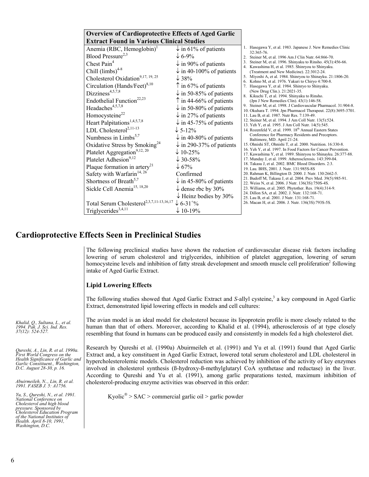| <b>Overview of Cardioprotective Effects of Aged Garlic</b>                                                                                                                                                                                                                                                                                                                                                                                                                                                   |                                                                                                                                                                                                                                                                                                                                                                                                        |                                                                                                                                                                                                                                                                                                                                                                                                                                                                                                                                                                                                                                                                                                                                                                                                                                                                                                                                                                                                                                                                                                 |
|--------------------------------------------------------------------------------------------------------------------------------------------------------------------------------------------------------------------------------------------------------------------------------------------------------------------------------------------------------------------------------------------------------------------------------------------------------------------------------------------------------------|--------------------------------------------------------------------------------------------------------------------------------------------------------------------------------------------------------------------------------------------------------------------------------------------------------------------------------------------------------------------------------------------------------|-------------------------------------------------------------------------------------------------------------------------------------------------------------------------------------------------------------------------------------------------------------------------------------------------------------------------------------------------------------------------------------------------------------------------------------------------------------------------------------------------------------------------------------------------------------------------------------------------------------------------------------------------------------------------------------------------------------------------------------------------------------------------------------------------------------------------------------------------------------------------------------------------------------------------------------------------------------------------------------------------------------------------------------------------------------------------------------------------|
| <b>Extract Found in Various Clinical Studies</b>                                                                                                                                                                                                                                                                                                                                                                                                                                                             |                                                                                                                                                                                                                                                                                                                                                                                                        |                                                                                                                                                                                                                                                                                                                                                                                                                                                                                                                                                                                                                                                                                                                                                                                                                                                                                                                                                                                                                                                                                                 |
| Anemia (RBC, Hemoglobin) <sup>1</sup><br>Blood Pressure <sup>2,3</sup><br>Chest Pain <sup>4</sup><br>Chill $(limbs)^{4-8}$<br>Cholesterol Oxidation <sup>9,17, 19, 25</sup><br>Circulation (Hands/Feet) $8,10$<br>Dizziness <sup>4,5,7,8</sup><br>Endothelial Function <sup>22,23</sup><br>Headaches <sup>4,5,7,8</sup>                                                                                                                                                                                      | $\downarrow$ in 61% of patients<br>$\downarrow$ 6-9%<br>$\downarrow$ in 90% of patients<br>$\downarrow$ in 40-100% of patients<br>$\downarrow$ 38%<br>$\uparrow$ in 67% of patients<br>$\downarrow$ in 50-85% of patients<br>$\uparrow$ in 44-66% of patients<br>$\downarrow$ in 50-80% of patients                                                                                                    | 1. Hasegawa Y, et al. 1983. Japanese J. New Remedies Clinic<br>32:365-76.<br>2. Steiner M, et al. 1996 Am J Clin Nutr. 64:866-70.<br>3. Steiner M, et al. 1996. Shinyaku to Rinsho. 45(3):456-66.<br>4. Kawashima H, et al. 1985. Shinryou to Shinyaku.<br>(Treatment and New Medicine). 22:3012-24.<br>5. Miyoshi A, et al. 1984. Shinryou to Shinayku. 21:1806-20.<br>6. Kohno M, et al. 1976. Yakuri to Chiryo 4:700-8.<br>7. Hasegawa Y, et al. 1984. Shinryo to Shinyaku.<br>(New Drug Clin.). 21:2021-35.<br>8. Kikuchi T, et al. 1994. Shinyaku to Rinsho.<br>(Jpn J New Remedies Clin). 43(1):146-58.<br>9. Steiner M, et al. 1998. J Cardiovascular Pharmacol. 31:904-8.<br>10. Okuhara T. 1994. Jpn Pharmacol Therapeut. 22(8):3695-3701.                                                                                                                                                                                                                                                                                                                                             |
| Homocysteine <sup>22</sup><br>Heart Palpitations <sup>1,4,5,7,8</sup><br>LDL Cholesterol <sup>2,11-13</sup><br>Numbness in Limbs <sup>5,7</sup><br>Oxidative Stress by Smoking <sup>24</sup><br>Platelet Aggregation <sup>9,12, 20</sup><br>Platelet Adhesion <sup>9,12</sup><br>Plaque formation in artery <sup>21</sup><br>Safety with Warfarin <sup>14, 26</sup><br>Shortness of Breath <sup>5,7</sup><br>Sickle Cell Anemia <sup>15, 18,20</sup><br>Total Serum Cholesterol <sup>2,3,7,11-13,16,17</sup> | $\downarrow$ in 27% of patients<br>$\downarrow$ in 45-75% of patients<br>$\downarrow$ 5-12%<br>$\downarrow$ in 40-80% of patients<br>$\downarrow$ in 290-37% of patients<br>$\downarrow$ 10-25%<br>$\downarrow$ 30-58%<br>$\downarrow$ 67%<br>Confirmed<br>$\downarrow$ in 45-80% of patients<br>$\downarrow$ dense rbc by 30%<br>$\downarrow$ Heinz bodies by 30%<br>$\downarrow$ 6-31 <sup>+</sup> % | 11. Lau B, et al. 1987. Nutr Res. 7:139-49.<br>12. Steiner M, et al. 1994. J Am Coll Nutr. 13(5):524.<br>13. Yeh Y, et al. 1995. J Am Coll Nutr. 14(5):545.<br>14. Rozenfeld V, et al. 1999. 18 <sup>th</sup> Annual Eastern States<br>Conference for Pharmacy Residents and Preceptors.<br>Baltimore, MD. April 21-24.<br>15. Ohnishi ST, Ohnishi T, et al. 2000. Nutrition. 16:330-8.<br>16. Yeh Y, et al. 1997. In Food Factors for Cancer Prevention.<br>17. Kawashima Y, et al. 1989. Shinryou to Shinayku. 26:377-88.<br>17. Munday J, et al. 1999. Atherosclerosis. 143:399-04.<br>18. Takasu J, et al. 2002. BMC Blood Disorders. 2:3.<br>19. Lau. BHS, 2001. J. Nutr. 131:985S-8S<br>20. Rahman K, Billington D. 2000. J. Nutr. 130:2662-5.<br>21. Budoff M, Takasu J, et al. 2004. Prev Med. 39(5):985-91.<br>22. Weiss N, et al. 2006. J Nutr. 136(3S):750S-4S.<br>23. Williams, et al. 2005. Phytother. Res. 19(4):314-9.<br>24. Dillon SA, et al. 2002. J. Nutr. 132:168-71.<br>25. Lau B, et al. 2001. J Nutr. 131:168-71.<br>26. Macan H, et al. 2006. J. Nutr. 136(3S):793S-5S. |
| Triglycerides <sup>3,4,11</sup>                                                                                                                                                                                                                                                                                                                                                                                                                                                                              | $\downarrow$ 10-19%                                                                                                                                                                                                                                                                                                                                                                                    |                                                                                                                                                                                                                                                                                                                                                                                                                                                                                                                                                                                                                                                                                                                                                                                                                                                                                                                                                                                                                                                                                                 |

## **Cardioprotective Effects Seen in Preclinical Studies**

The following preclinical studies have shown the reduction of cardiovascular disease risk factors including lowering of serum cholesterol and triglycerides, inhibition of platelet aggregation, lowering of serum homocysteine levels and inhibition of fatty streak development and smooth muscle cell proliferation<sup>2</sup> following intake of Aged Garlic Extract.

#### **Lipid Lowering Effects**

The following studies showed that Aged Garlic Extract and *S*-allyl cysteine,<sup>3</sup> a key compound in Aged Garlic Extract, demonstrated lipid lowering effects in models and cell cultures:

The avian model is an ideal model for cholesterol because its lipoprotein profile is more closely related to the human than that of others. Moreover, according to Khalid et al. (1994), atherosclerosis of at type closely resembling that found in humans can be produced easily and consistently in models fed a high cholesterol diet.

Research by Qureshi et al. (1990a) Abuirmeileh et al. (1991) and Yu et al. (1991) found that Aged Garlic Extract and, a key constituent in Aged Garlic Extract, lowered total serum cholesterol and LDL cholesterol in hypercholesterolemic models. Cholesterol reduction was achieved by inhibition of the activity of key enzymes involved in cholesterol synthesis (ß-hydroxy-ß-methylglutaryl CoA synthetase and reductase) in the liver. According to Qureshi and Yu et al. (1991), among garlic preparations tested, maximum inhibition of cholesterol-producing enzyme activities was observed in this order:

Kyolic<sup>®</sup> > SAC > commercial garlic oil > garlic powder

*Khalid, Q., Sultana, L., et al. 1994. Pak. J. Sci. Ind. Res. 37(12): 524-527.* 

*Qureshi, A., Lin, R. et al. 1990a. First World Congress on the Health Significance of Garlic and Garlic Constituent., Washington, D.C. August 28-30, p. 16.* 

*Abuirmeileh, N.., Lin, R. et al. 1991. FASEB J. 5: A1756.* 

*Yu, S., Qureshi, N., et al. 1991. National Conference on Cholesterol and high blood pressure. Sponsored by Cholesterol Education Program of the National Institutes of Health. April 8-10, 1991, Washington, D.C.*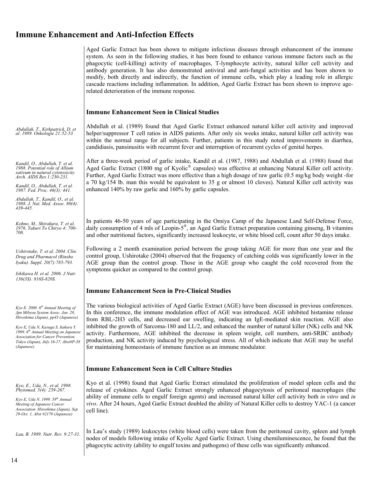## **Immune Enhancement and Anti-Infection Effects**

Aged Garlic Extract has been shown to mitigate infectious diseases through enhancement of the immune system. As seen in the following studies, it has been found to enhance various immune factors such as the phagocytic (cell-killing) activity of macrophages, T-lymphocyte activity, natural killer cell activity and antibody generation. It has also demonstrated antiviral and anti-fungal activities and has been shown to modify, both directly and indirectly, the function of immune cells, which play a leading role in allergic cascade reactions including inflammation. In addition, Aged Garlic Extract has been shown to improve agerelated deterioration of the immune response.

#### **Immune Enhancement Seen in Clinical Studies**

*Abdullah, T., Kirkpatrick, D. et al. 1989. Onkologie 21:52-53.* 

*Kandil, O., Abdullah, T. et al. 1988. Potential role of Allium sativum in natural cytotoxicity. Arch. AIDS Res 1:230-231.* 

*Kandil, O., Abdullah, T. et al. 1987. Fed. Proc. 46(3): 441.* 

*Abdullah, T., Kandil, O., et al. 1988. J. Nat. Med. Assoc. 80(4): 439-445.* 

*Kohno, M., Shirakura, T. et al. 1976. Yakuri To Chiryo 4: 700- 708.* 

*Ushirotake, T. et al. 2004. Clin. Drug and Pharmacol (Rinsho Iyaku). Suppl. 20(7):785-793.* 

*Ishikawa H. et al. 2006. J Nutr. 136(3S): 816S-820S.* 

*Kyo E. 2000. 6th Annual Meeting of Jpn Mibyou System Assoc. Jan. 28, Hiroshima (Japan), pp43 (Japanese)* 

*Kyo E, Uda N, Kasuga S, Itakura Y. 1999. 6th Annual Meeting on Japanese Association for Cancer Prevention. Tokyo (Japan), July 16-17, Abst#P-38 (Japanese)*

*Kyo, E., Uda, N., et al. 1998. Phytomed. 5(4): 259-267.* 

*Kyo E, Uda N. 1999. 58th Annual Meeting of Japanese Cancer Association. Hiroshima (Japan), Sep 29-Oct. 1, Abst #2170 (Japanese)* 

Abdullah et al. (1989) found that Aged Garlic Extract enhanced natural killer cell activity and improved helper/suppressor T cell ratios in AIDS patients. After only six weeks intake, natural killer cell activity was within the normal range for all subjects. Further, patients in this study noted improvements in diarrhea, candidiasis, pansinusitis with recurrent fever and interruption of recurrent cycles of genital herpes.

After a three-week period of garlic intake, Kandil et al. (1987, 1988) and Abdullah et al. (1988) found that Aged Garlic Extract (1800 mg of Kyolic® capsules) was effective at enhancing Natural Killer cell activity. Further, Aged Garlic Extract was more effective than a high dosage of raw garlic (0.5 mg/kg body weight -for a 70 kg/154 lb. man this would be equivalent to 35 g or almost 10 cloves). Natural Killer cell activity was enhanced 140% by raw garlic and 160% by garlic capsules.

In patients 46-50 years of age participating in the Omiya Camp of the Japanese Land Self-Defense Force, daily consumption of 4 mls of Leopin-5®, an Aged Garlic Extract preparation containing ginseng, B vitamins and other nutritional factors, significantly increased leukocyte, or white blood cell, count after 50 days intake.

Following a 2 month examination period between the group taking AGE for more than one year and the control group, Ushirotake (2004) observed that the frequency of catching colds was significantly lower in the AGE group than the control group. Those in the AGE group who caught the cold recovered from the symptoms quicker as compared to the control group.

#### **Immune Enhancement Seen in Pre-Clinical Studies**

The various biological activities of Aged Garlic Extract (AGE) have been discussed in previous conferences. In this conference, the immune modulation effect of AGE was introduced. AGE inhibited histamine release from RBL-2H3 cells, and decreased ear swelling, indicating an IgE-mediated skin reaction. AGE also inhibited the growth of Sarcoma-180 and LL/2, and enhanced the number of natural killer (NK) cells and NK activity. Furthermore, AGE inhibited the decrease in spleen weight, cell numbers, anti-SRBC antibody production, and NK activity induced by psychological stress. All of which indicate that AGE may be useful for maintaining homeostasis of immune function as an immune modulator.

#### **Immune Enhancement Seen in Cell Culture Studies**

Kyo et al. (1998) found that Aged Garlic Extract stimulated the proliferation of model spleen cells and the release of cytokines. Aged Garlic Extract strongly enhanced phagocytosis of peritoneal macrophages (the ability of immune cells to engulf foreign agents) and increased natural killer cell activity both *in vitro* and *in vivo*. After 24 hours, Aged Garlic Extract doubled the ability of Natural Killer cells to destroy YAC-1 (a cancer cell line).

*Lau, B. 1989. Nutr. Rev. 9:27-31.* In Lau's study (1989) leukocytes (white blood cells) were taken from the peritoneal cavity, spleen and lymph nodes of models following intake of Kyolic Aged Garlic Extract. Using chemiluminescence, he found that the phagocytic activity (ability to engulf toxins and pathogens) of these cells was significantly enhanced.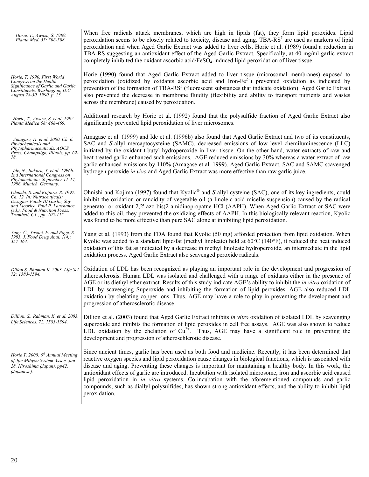| Horie, T., Awazu, S. 1989.<br>Planta Med. 55: 506-508.                                                                                                                                                | When free radicals attack membranes, which are high in lipids (fat), they form lipid peroxides. Lipid<br>peroxidation seems to be closely related to toxicity, disease and aging. TBA-RS <sup>5</sup> are used as markers of lipid<br>peroxidation and when Aged Garlic Extract was added to liver cells, Horie et al. (1989) found a reduction in<br>TBA-RS suggesting an antioxidant effect of the Aged Garlic Extract. Specifically, at 40 mg/ml garlic extract<br>completely inhibited the oxidant ascorbic acid/FeSO <sub>4</sub> -induced lipid peroxidation of liver tissue.                                                                                                                            |
|-------------------------------------------------------------------------------------------------------------------------------------------------------------------------------------------------------|----------------------------------------------------------------------------------------------------------------------------------------------------------------------------------------------------------------------------------------------------------------------------------------------------------------------------------------------------------------------------------------------------------------------------------------------------------------------------------------------------------------------------------------------------------------------------------------------------------------------------------------------------------------------------------------------------------------|
| Horie, T. 1990. First World<br>Congress on the Health<br>Significance of Garlic and Garlic<br>Constituents. Washington, D.C.<br>August 28-30, 1990, p. 23.                                            | Horie (1990) found that Aged Garlic Extract added to liver tissue (microsomal membranes) exposed to<br>peroxidation (oxidized by oxidants ascorbic acid and Iron- $Fe^{2+}$ ) prevented oxidation as indicated by<br>prevention of the formation of TBA-RS <sup>5</sup> (fluorescent substances that indicate oxidation). Aged Garlic Extract<br>also prevented the decrease in membrane fluidity (flexibility and ability to transport nutrients and wastes<br>across the membrane) caused by peroxidation.                                                                                                                                                                                                   |
| Horie, T., Awazu, S. et al. 1992.<br>Planta Medica 58: 468-469.                                                                                                                                       | Additional research by Horie et al. (1992) found that the polysulfide fraction of Aged Garlic Extract also<br>significantly prevented lipid peroxidation of liver microsomes.                                                                                                                                                                                                                                                                                                                                                                                                                                                                                                                                  |
| Amagase, H. et al. 2000. Ch. 6.<br>Phytochemicals and<br>Phytopharmaceuticals. AOCS<br>Press, Champaign, Illinois, pp. 62-<br>78.                                                                     | Amagase et al. (1999) and Ide et al. (1996b) also found that Aged Garlic Extract and two of its constituents,<br>SAC and S-allyl mercaptocysteine (SAMC), decreased emissions of low level chemiluminescence (LLC)<br>initiated by the oxidant t-butyl hydroperoxide in liver tissue. On the other hand, water extracts of raw and<br>heat-treated garlic enhanced such emissions. AGE reduced emissions by 30% whereas a water extract of raw<br>garlic enhanced emissions by 110% (Amagase et al. 1999). Aged Garlic Extract, SAC and SAMC scavenged                                                                                                                                                         |
| Ide, N., Itakura, Y. et al. 1996b.<br>2nd International Congress on<br>Phytomedicine. September 11-14,<br>1996. Munich, Germany.                                                                      | hydrogen peroxide in vivo and Aged Garlic Extract was more effective than raw garlic juice.                                                                                                                                                                                                                                                                                                                                                                                                                                                                                                                                                                                                                    |
| Ohnishi, S. and Kojinra, R. 1997.<br>Ch. 12. In: Nutraceuticals:<br>Designer Foods III Garlic, Soy<br>and Licorice. Paul P. Lanchance<br>(ed.). Food & Nutrition Press,<br>Trumbell, CT, pp. 105-115. | Ohnishi and Kojima (1997) found that Kyolic <sup>®</sup> and S-allyl cysteine (SAC), one of its key ingredients, could<br>inhibit the oxidation or rancidity of vegetable oil (a linoleic acid micelle suspension) caused by the radical<br>generator or oxidant 2,2'-azo-bis(2-amidinopropatne HCl (AAPH). When Aged Garlic Extract or SAC were<br>added to this oil, they prevented the oxidizing effects of AAPH. In this biologically relevant reaction, Kyolic<br>was found to be more effective than pure SAC alone at inhibiting lipid peroxidation.                                                                                                                                                    |
| Yang, C., Yasaei, P. and Page, S.<br>1993. J. Food Drug Anal. 1(4):<br>357-364.                                                                                                                       | Yang et al. (1993) from the FDA found that Kyolic (50 mg) afforded protection from lipid oxidation. When<br>Kyolic was added to a standard lipid/fat (methyl linoleate) held at $60^{\circ}$ C (140°F), it reduced the heat induced<br>oxidation of this fat as indicated by a decrease in methyl linoleate hydroperoxide, an intermediate in the lipid<br>oxidation process. Aged Garlic Extract also scavenged peroxide radicals.                                                                                                                                                                                                                                                                            |
| Dillon S, Rhaman K. 2003. Life Sci<br>72: 1583-1594.                                                                                                                                                  | Oxidation of LDL has been recognized as playing an important role in the development and progression of<br>atherosclerosis. Human LDL was isolated and challenged with a range of oxidants either in the presence of<br>AGE or its diethyl ether extract. Results of this study indicate AGE's ability to inhibit the <i>in vitro</i> oxidation of<br>LDL by scavenging Superoxide and inhibiting the formation of lipid peroxides. AGE also reduced LDL<br>oxidation by chelating copper ions. Thus, AGE may have a role to play in preventing the development and<br>progression of atherosclerotic disease.                                                                                                 |
| Dillion, S., Rahman, K. et al. 2003.<br>Life Sciences. 72, 1583-1594.                                                                                                                                 | Dillion et al. (2003) found that Aged Garlic Extract inhibits in vitro oxidation of isolated LDL by scavenging<br>superoxide and inhibits the formation of lipid peroxides in cell free assays. AGE was also shown to reduce<br>LDL oxidation by the chelation of $Cu^{2+}$ . Thus, AGE may have a significant role in preventing the<br>development and progression of atheroschlerotic disease.                                                                                                                                                                                                                                                                                                              |
| Horie T. 2000. 6 <sup>th</sup> Annual Meeting<br>of Jpn Mibyou System Assoc. Jan<br>28, Hiroshima (Japan), pp42.<br>(Japanese).                                                                       | Since ancient times, garlic has been used as both food and medicine. Recently, it has been determined that<br>reactive oxygen species and lipid peroxidation cause changes in biological functions, which is associated with<br>disease and aging. Preventing these changes is important for maintaining a healthy body. In this work, the<br>antioxidant effects of garlic are introduced. Incubation with isolated microsome, iron and ascorbic acid caused<br>lipid peroxidation in <i>in vitro</i> systems. Co-incubation with the aforementioned compounds and garlic<br>compounds, such as diallyl polysulfides, has shown strong antioxidant effects, and the ability to inhibit lipid<br>peroxidation. |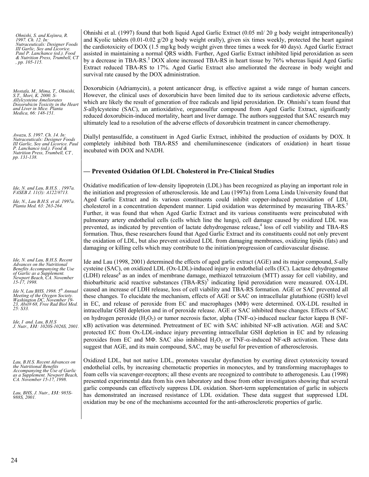| Ohnishi, S. and Kojinra, R.<br>1997. Ch. 12. In:<br>Nutraceuticals: Designer Foods<br>III Garlic, Soy and Licorice.<br>Paul P. Lanchance (ed.). Food<br>& Nutrition Press, Trumbell, CT<br>, pp. 105-115.                                                                                                                                                                                                       | Ohnishi et al. (1997) found that both liquid Aged Garlic Extract (0.05 ml/20 g body weight intraperitoneally)<br>and Kyolic tablets $(0.01-0.02 \text{ g}/20 \text{ g}$ body weight orally), given six times weekly, protected the heart against<br>the cardiotoxicity of DOX (1.5 mg/kg body weight given three times a week for 40 days). Aged Garlic Extract<br>assisted in maintaining a normal QRS width. Further, Aged Garlic Extract inhibited lipid peroxidation as seen<br>by a decrease in TBA-RS. <sup>5</sup> DOX alone increased TBA-RS in heart tissue by 76% whereas liquid Aged Garlic<br>Extract reduced TBA-RS to 17%. Aged Garlic Extract also ameliorated the decrease in body weight and<br>survival rate caused by the DOX administration.                                                                                                                                                                                                                                                                                                                                                                                                                                                                                                                                                                                                                                                                                                                                     |
|-----------------------------------------------------------------------------------------------------------------------------------------------------------------------------------------------------------------------------------------------------------------------------------------------------------------------------------------------------------------------------------------------------------------|------------------------------------------------------------------------------------------------------------------------------------------------------------------------------------------------------------------------------------------------------------------------------------------------------------------------------------------------------------------------------------------------------------------------------------------------------------------------------------------------------------------------------------------------------------------------------------------------------------------------------------------------------------------------------------------------------------------------------------------------------------------------------------------------------------------------------------------------------------------------------------------------------------------------------------------------------------------------------------------------------------------------------------------------------------------------------------------------------------------------------------------------------------------------------------------------------------------------------------------------------------------------------------------------------------------------------------------------------------------------------------------------------------------------------------------------------------------------------------------------------|
| Mostafa, M., Mima, T., Ohnishi,<br>S.T., Mori, K. 2000. S-<br><b>Allylcysteine Ameliorates</b><br>Doxorubicin Toxicity in the Heart<br>and Liver in Mice. Planta<br>Medica, 66: 148-151.                                                                                                                                                                                                                        | Doxorubicin (Adriamycin), a potent anticancer drug, is effective against a wide range of human cancers.<br>However, the clinical uses of doxorubicin have been limited due to its serious cardiotoxic adverse effects,<br>which are likely the result of generation of free radicals and lipid peroxidation. Dr. Ohnishi's team found that<br>S-allylcysteine (SAC), an antioxidative, organosulfur compound from Aged Garlic Extract, significantly<br>reduced doxorubicin-induced mortality, heart and liver damage. The authors suggested that SAC research may<br>ultimately lead to a resolution of the adverse effects of doxorubicin treatment in cancer chemotherapy.                                                                                                                                                                                                                                                                                                                                                                                                                                                                                                                                                                                                                                                                                                                                                                                                                        |
| Awazu, S. 1997. Ch. 14. In:<br>Nutraceuticals: Designer Foods<br>III Garlic, Soy and Licorice. Paul<br>P. Lanchance (ed.). Food &<br>Nutrition Press, Trumbell, CT,<br>pp. 131-138.                                                                                                                                                                                                                             | Diallyl pentasulfide, a constituent in Aged Garlic Extract, inhibited the production of oxidants by DOX. It<br>completely inhibited both TBA-RS5 and chemiluminescence (indicators of oxidation) in heart tissue<br>incubated with DOX and NADH.                                                                                                                                                                                                                                                                                                                                                                                                                                                                                                                                                                                                                                                                                                                                                                                                                                                                                                                                                                                                                                                                                                                                                                                                                                                     |
|                                                                                                                                                                                                                                                                                                                                                                                                                 | - Prevented Oxidation Of LDL Cholesterol in Pre-Clinical Studies                                                                                                                                                                                                                                                                                                                                                                                                                                                                                                                                                                                                                                                                                                                                                                                                                                                                                                                                                                                                                                                                                                                                                                                                                                                                                                                                                                                                                                     |
| Ide, N. and Lau, B.H.S. . 1997a.<br>FASEB J. 11(3): A122/#713.<br>Ide, N., Lau B.H.S. et al. 1997a.<br>Planta Med. 63: 263-264.                                                                                                                                                                                                                                                                                 | Oxidative modification of low-density lipoprotein (LDL) has been recognized as playing an important role in<br>the initiation and progression of atherosclerosis. Ide and Lau (1997a) from Loma Linda University found that<br>Aged Garlic Extract and its various constituents could inhibit copper-induced peroxidation of LDL<br>cholesterol in a concentration dependent manner. Lipid oxidation was determined by measuring TBA-RS. <sup>5</sup><br>Further, it was found that when Aged Garlic Extract and its various constituents were preincubated with<br>pulmonary artery endothelial cells (cells which line the lungs), cell damage caused by oxidized LDL was<br>prevented, as indicated by prevention of lactate dehydrogenase release, <sup>4</sup> loss of cell viability and TBA-RS<br>formation. Thus, these researchers found that Aged Garlic Extract and its constituents could not only prevent<br>the oxidation of LDL, but also prevent oxidized LDL from damaging membranes, oxidizing lipids (fats) and<br>damaging or killing cells which may contribute to the initiation/progression of cardiovascular disease.                                                                                                                                                                                                                                                                                                                                                        |
| Ide, N. and Lau, B.H.S. Recent<br>Advances on the Nutritional<br>Benefits Accompanying the Use<br>of Garlic as a Supplement.<br>Newport Beach, CA. November<br>15-17, 1998.<br>Ide N, Lau BHS. 1998. 5 <sup>th</sup> Annual<br>Meeting of the Oxygen Society.<br>Washington DC, November 19-<br>23, Abst# 68, Free Rad Biol Med.<br>25: S33.<br>$Ide, I$ and. Lau, $B.H.S$<br>J. Nutr., 131: 1020S-1026S, 2001. | Ide and Lau (1998, 2001) determined the effects of aged garlic extract (AGE) and its major compound, S-ally<br>cysteine (SAC), on oxidized LDL (Ox-LDL)-induced injury in endothelial cells (EC). Lactase dehydrogenase<br>(LDH) release <sup>4</sup> as an index of membrane damage, methiazol tetrazoium (MTT) assay for cell viability, and<br>thiobarbituric acid reactive substances (TBA-RS) <sup>5</sup> indicating lipid peroxidation were measured. OX-LDL<br>caused an increase of LDH release, loss of cell viability and TBA-RS formation. AGE or SAC prevented all<br>these changes. To elucidate the mechanism, effects of AGE or SAC on intracellular glutathione (GSH) level<br>in EC, and release of peroxide from EC and macrophages (MΦ) were determined. OX-LDL resulted in<br>intracellular GSH depletion and in of peroxide release. AGE or SAC inhibited these changes. Effects of SAC<br>on hydrogen peroxide (H <sub>2</sub> O <sub>2</sub> ) or tumor necrosis factor, alpha (TNF- $\alpha$ )-induced nuclear factor kappa B (NF-<br>KB) activation was determined. Pretreatment of EC with SAC inhibited NF-KB activation. AGE and SAC<br>protected EC from Ox-LDL-induce injury preventing intracellular GSH depletion in EC and by releasing<br>peroxides from EC and MΦ. SAC also inhibited $H_2O_2$ or TNF- $\alpha$ -induced NF- $\kappa$ B activation. These data<br>suggest that AGE, and its main compound, SAC, may be useful for prevention of atherosclerosis. |
| Lau, B.H.S. Recent Advances on<br>the Nutritional Benefits<br>Accompanying the Use of Garlic<br>as a Supplement. Newport Beach,<br>CA. November 15-17, 1998.<br>Lau, BHS, J. Nutr., 131: 985S-<br>988S, 2001.                                                                                                                                                                                                   | Oxidized LDL, but not native LDL, promotes vascular dysfunction by exerting direct cytotoxicity toward<br>endothelial cells, by increasing chemotactic properties in monocytes, and by transforming macrophages to<br>foam cells via scavenger-receptors; all these events are recognized to contribute to atherogenesis. Lau (1998)<br>presented experimental data from his own laboratory and those from other investigators showing that several<br>garlic compounds can effectively suppress LDL oxidation. Short-term supplementation of garlic in subjects<br>has demonstrated an increased resistance of LDL oxidation. These data suggest that suppressed LDL<br>oxidation may be one of the mechanisms accounted for the anti-atherosclerotic properties of garlic.                                                                                                                                                                                                                                                                                                                                                                                                                                                                                                                                                                                                                                                                                                                         |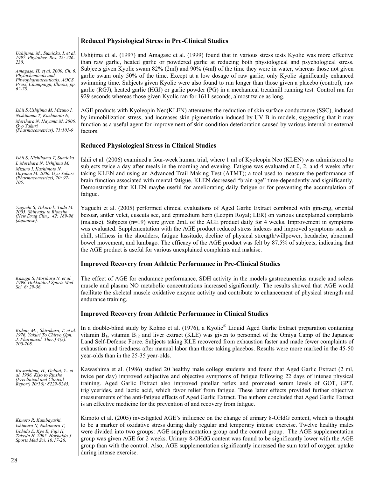# **Reduced Physiological Stress in Pre-Clinical Studies**

| Ushijima, M., Sumioka, I. et al.<br>1997. Phytother. Res. 22: 226-<br>230.<br>Amagase, H. et al. 2000. Ch. 6.<br>Phytochemicals and<br>Phytopharmaceuticals. AOCS<br>Press, Champaign, Illinois, pp.<br>$62 - 78.$ | Ushijima et al. (1997) and Amagase et al. (1999) found that in various stress tests Kyolic was more effective<br>than raw garlic, heated garlic or powdered garlic at reducing both physiological and psychological stress.<br>Subjects given Kyolic swam 82% (2ml) and 90% (4ml) of the time they were in water, whereas those not given<br>garlic swam only 50% of the time. Except at a low dosage of raw garlic, only Kyolic significantly enhanced<br>swimming time. Subjects given Kyolic were also found to run longer than those given a placebo (control), raw<br>garlic (RGJ), heated garlic (HGJ) or garlic powder (PG) in a mechanical treadmill running test. Control ran for<br>929 seconds whereas those given Kyolic ran for 1611 seconds, almost twice as long. |
|--------------------------------------------------------------------------------------------------------------------------------------------------------------------------------------------------------------------|----------------------------------------------------------------------------------------------------------------------------------------------------------------------------------------------------------------------------------------------------------------------------------------------------------------------------------------------------------------------------------------------------------------------------------------------------------------------------------------------------------------------------------------------------------------------------------------------------------------------------------------------------------------------------------------------------------------------------------------------------------------------------------|
| Ishii S, Ushijima M, Mizuno I,<br>Nishihama T, Kashimoto N,<br>Morihara N, Hayama M. 2006.<br>Ovo Yakuri<br>(Pharmacometrics), $71:101-9$                                                                          | AGE products with Kyoleopin Neo(KLEN) attenuates the reduction of skin surface conductance (SSC), induced<br>by immobilization stress, and increases skin pigmentation induced by UV-B in models, suggesting that it may<br>function as a useful agent for improvement of skin condition deterioration caused by various internal or external<br>factors.                                                                                                                                                                                                                                                                                                                                                                                                                        |
|                                                                                                                                                                                                                    | <b>Reduced Physiological Stress in Clinical Studies</b>                                                                                                                                                                                                                                                                                                                                                                                                                                                                                                                                                                                                                                                                                                                          |
| Ishii S, Nishihama T, Sumioka<br>I, Morihara N, Ushijima M,<br>Mizuno I, Kashimoto N,<br>Hayama M. 2006. Oyo Yakuri<br>(Pharmacometrics), 70: 97-<br>105.                                                          | Ishii et al. (2006) examined a four-week human trial, where 1 ml of Kyoleopin Neo (KLEN) was administered to<br>subjects twice a day after meals in the morning and evening. Fatigue was evaluated at 0, 2, and 4 weeks after<br>taking KLEN and using an Advanced Trail Making Test (ATMT); a tool used to measure the performance of<br>brain function associated with mental fatigue. KLEN decreased "brain-age" time-dependently and significantly.<br>Demonstrating that KLEN maybe useful for ameliorating daily fatigue or for preventing the accumulation of<br>fatigue.                                                                                                                                                                                                 |
| Yaguchi S, Tokoro k, Tada M.<br>2005. Shinyaku to Rionsho<br>(New Drug Clin.). 42: 189-96<br>(Japanese).                                                                                                           | Yaguchi et al. (2005) performed clinical evaluations of Aged Garlic Extract combined with ginseng, oriental<br>bezoar, antler velet, cuscuta see, and epimedium herb (Leopin Royal; LER) on various unexplained complaints<br>(malaise). Subjects $(n=19)$ were given $2mL$ of the AGE product daily for 4 weeks. Improvement in symptoms<br>was evaluated. Supplementation with the AGE product reduced stress indexes and improved symptoms such as<br>chill, stiffness in the shoulders, fatigue lassitude, decline of physical strength/willpower, headache, abnormal<br>bowel movement, and lumbago. The efficacy of the AGE product was felt by 87.5% of subjects, indicating that<br>the AGE product is useful for various unexplained complaints and malaise.            |
|                                                                                                                                                                                                                    |                                                                                                                                                                                                                                                                                                                                                                                                                                                                                                                                                                                                                                                                                                                                                                                  |
|                                                                                                                                                                                                                    | <b>Improved Recovery from Athletic Performance in Pre-Clinical Studies</b>                                                                                                                                                                                                                                                                                                                                                                                                                                                                                                                                                                                                                                                                                                       |
| Kasuga S. Morihara N. et al.<br>1998. Hokkaido J Sports Med<br>Sci. 6: 29-36.                                                                                                                                      | The effect of AGE for endurance performance, SDH activity in the models gastrocunemius muscle and soleus<br>muscle and plasma NO metabolic concentrations increased significantly. The results showed that AGE would<br>facilitate the skeletal muscle oxidative enzyme activity and contribute to enhancement of physical strength and<br>endurance training.                                                                                                                                                                                                                                                                                                                                                                                                                   |
|                                                                                                                                                                                                                    | <b>Improved Recovery from Athletic Performance in Clinical Studies</b>                                                                                                                                                                                                                                                                                                                                                                                                                                                                                                                                                                                                                                                                                                           |
| Kohno, M., Shirakura, T. et al.<br>1976. Yakuri To Chiryo (Jpn.<br>J. Pharmacol. Ther.) $4(3)$ :<br>700-708.                                                                                                       | In a double-blind study by Kohno et al. (1976), a Kyolic <sup>®</sup> Liquid Aged Garlic Extract preparation containing<br>vitamin $B_1$ , vitamin $B_{12}$ and liver extract (KLE) was given to personnel of the Omiya Camp of the Japanese<br>Land Self-Defense Force. Subjects taking KLE recovered from exhaustion faster and made fewer complaints of<br>exhaustion and tiredness after manual labor than those taking placebos. Results were more marked in the 45-50<br>year-olds than in the 25-35 year-olds.                                                                                                                                                                                                                                                            |
| Kawashima, H., Ochiai, Y., et<br>al. 1986. Kiso to Rinsho<br>(Preclinical and Clinical<br>Report) 20(16): 8229-8245.                                                                                               | Kawashima et al. (1986) studied 20 healthy male college students and found that Aged Garlic Extract (2 ml,<br>twice per day) improved subjective and objective symptoms of fatigue following 22 days of intense physical<br>training. Aged Garlic Extract also improved patellar reflex and promoted serum levels of GOT, GPT,<br>triglycerides, and lactic acid, which favor relief from fatigue. These latter effects provided further objective<br>measurements of the anti-fatigue effects of Aged Garlic Extract. The authors concluded that Aged Garlic Extract<br>is an effective medicine for the prevention of and recovery from fatigue.                                                                                                                               |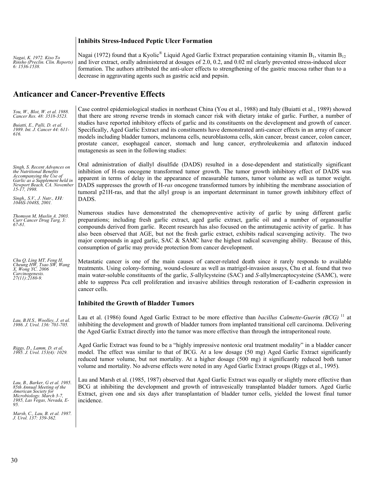#### **Inhibits Stress-Induced Peptic Ulcer Formation**

*Nagai, K. 1972. Kiso To Rinsho (Preclin. Clin. Reports) 6: 1536-1538.* 

Nagai (1972) found that a Kyolic® Liquid Aged Garlic Extract preparation containing vitamin  $B_1$ , vitamin  $B_{12}$ and liver extract, orally administered at dosages of 2.0, 0.2, and 0.02 ml clearly prevented stress-induced ulcer formation. The authors attributed the anti-ulcer effects to strengthening of the gastric mucosa rather than to a decrease in aggravating agents such as gastric acid and pepsin.

# **Anticancer and Cancer-Preventive Effects**

| You, W., Blot, W. et al. 1988.<br>Cancer Res. 48: 3518-3523.<br>Buiatti, E., Palli, D. et al.<br>1989. Int. J. Cancer 44: 611-<br>616.                                                                                          | Case control epidemiological studies in northeast China (You et al., 1988) and Italy (Buiatti et al., 1989) showed<br>that there are strong reverse trends in stomach cancer risk with dietary intake of garlic. Further, a number of<br>studies have reported inhibitory effects of garlic and its constituents on the development and growth of cancer.<br>Specifically, Aged Garlic Extract and its constituents have demonstrated anti-cancer effects in an array of cancer<br>models including bladder tumors, melanoma cells, neuroblastoma cells, skin cancer, breast cancer, colon cancer,<br>prostate cancer, esophageal cancer, stomach and lung cancer, erythroleukemia and aflatoxin induced<br>mutagenesis as seen in the following studies: |
|---------------------------------------------------------------------------------------------------------------------------------------------------------------------------------------------------------------------------------|-----------------------------------------------------------------------------------------------------------------------------------------------------------------------------------------------------------------------------------------------------------------------------------------------------------------------------------------------------------------------------------------------------------------------------------------------------------------------------------------------------------------------------------------------------------------------------------------------------------------------------------------------------------------------------------------------------------------------------------------------------------|
| Singh, S. Recent Advances on<br>the Nutritional Benefits<br>Accompanying the Use of<br>Garlic as a Supplement held in<br>Newport Beach, CA. November<br>$15 - 17$ , 1998.<br>Singh,, S.V., J. Nutr., 131:<br>1046S-1048S, 2001. | Oral administration of diallyl disulfide (DADS) resulted in a dose-dependent and statistically significant<br>inhibition of H-ras oncogene transformed tumor growth. The tumor growth inhibitory effect of DADS was<br>apparent in terms of delay in the appearance of measurable tumors, tumor volume as well as tumor weight.<br>DADS suppresses the growth of H-ras oncogene transformed tumors by inhibiting the membrane association of<br>tumoral p21H-ras, and that the allyl group is an important determinant in tumor growth inhibitory effect of<br>DADS.                                                                                                                                                                                      |
| Thomson M, Muslin A. 2003.<br>Curr Cancer Drug Targ, 3:<br>67-81.                                                                                                                                                               | Numerous studies have demonstrated the chemopreventive activity of garlic by using different garlic<br>preparations; including fresh garlic extract, aged garlic extract, garlic oil and a number of organosulfur<br>compounds derived from garlic. Recent research has also focused on the antimutagenic activity of garlic. It has<br>also been observed that AGE, but not the fresh garlic extract, exhibits radical scavenging activity. The two<br>major compounds in aged garlic, SAC & SAMC have the highest radical scavenging ability. Because of this,<br>consumption of garlic may provide protection from cancer development.                                                                                                                 |
| Chu Q, Ling MT, Feng H,<br>Cheung HW, Tsao SW, Wang<br>X, Wong YC. 2006<br>Carcinogenesis.<br>$27(11):2180-9.$                                                                                                                  | Metastatic cancer is one of the main causes of cancer-related death since it rarely responds to available<br>treatments. Using colony-forming, wound-closure as well as matrigel-invasion assays, Chu et al. found that two<br>main water-soluble constituents of the garlic, S-allylcysteine (SAC) and S-allylmercaptocysteine (SAMC), were<br>able to suppress Pca cell proliferation and invasive abilities through restoration of E-cadherin expression in<br>cancer cells.                                                                                                                                                                                                                                                                           |
|                                                                                                                                                                                                                                 | <b>Inhibited the Growth of Bladder Tumors</b>                                                                                                                                                                                                                                                                                                                                                                                                                                                                                                                                                                                                                                                                                                             |
| Lau, B.H.S., Woolley, J. et al.<br>1986. J. Urol. 136: 701-705.                                                                                                                                                                 | Lau et al. (1986) found Aged Garlic Extract to be more effective than <i>bacillus Calmette-Guerin (BCG)</i> <sup>11</sup> at<br>inhibiting the development and growth of bladder tumors from implanted transitional cell carcinoma. Delivering<br>the Aged Garlic Extract directly into the tumor was more effective than through the intraperitoneal route.                                                                                                                                                                                                                                                                                                                                                                                              |
| Riggs, D., Lamm, D. et al.<br>1995. J. Urol. 153(4): 1029.                                                                                                                                                                      | Aged Garlic Extract was found to be a "highly impressive nontoxic oral treatment modality" in a bladder cancer<br>model. The effect was similar to that of BCG. At a low dosage (50 mg) Aged Garlic Extract significantly<br>reduced tumor volume, but not mortality. At a higher dosage (500 mg) it significantly reduced both tumor<br>volume and mortality. No adverse effects were noted in any Aged Garlic Extract groups (Riggs et al., 1995).                                                                                                                                                                                                                                                                                                      |
| Lau, B., Barker, G et al. 1985.<br>85th Annual Meeting of the<br>American Society for<br>Microbiology. March 3-7,<br>1985, Las Vegas, Nevada, E-<br>95.                                                                         | Lau and Marsh et al. (1985, 1987) observed that Aged Garlic Extract was equally or slightly more effective than<br>BCG at inhibiting the development and growth of intravesically transplanted bladder tumors. Aged Garlic<br>Extract, given one and six days after transplantation of bladder tumor cells, yielded the lowest final tumor<br>incidence.                                                                                                                                                                                                                                                                                                                                                                                                  |
| Marsh, C., Lau, B. et al. 1987.<br>J. Urol. 137: 359-362.                                                                                                                                                                       |                                                                                                                                                                                                                                                                                                                                                                                                                                                                                                                                                                                                                                                                                                                                                           |
|                                                                                                                                                                                                                                 |                                                                                                                                                                                                                                                                                                                                                                                                                                                                                                                                                                                                                                                                                                                                                           |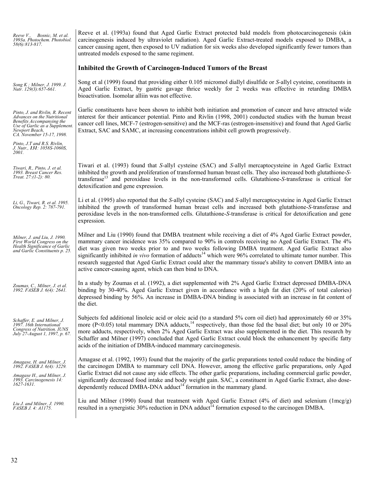| Reeve V., Bosnic, M. et al.<br>1993a. Photochem. Photobiol.<br>58(6):813-817.                                                                                                | Reeve et al. (1993a) found that Aged Garlic Extract protected bald models from photocarcinogenesis (skin<br>carcinogenesis induced by ultraviolet radiation). Aged Garlic Extract-treated models exposed to DMBA, a<br>cancer causing agent, then exposed to UV radiation for six weeks also developed significantly fewer tumors than<br>untreated models exposed to the same regiment.                                                                                                                                                                                                                                           |
|------------------------------------------------------------------------------------------------------------------------------------------------------------------------------|------------------------------------------------------------------------------------------------------------------------------------------------------------------------------------------------------------------------------------------------------------------------------------------------------------------------------------------------------------------------------------------------------------------------------------------------------------------------------------------------------------------------------------------------------------------------------------------------------------------------------------|
|                                                                                                                                                                              | Inhibited the Growth of Carcinogen-Induced Tumors of the Breast                                                                                                                                                                                                                                                                                                                                                                                                                                                                                                                                                                    |
| Song K; Milner, J. 1999. J.<br>Nutr. 129(3):657-661.                                                                                                                         | Song et al (1999) found that providing either 0.105 micromol diallyl disulfide or S-allyl cysteine, constituents in<br>Aged Garlic Extract, by gastric gavage thrice weekly for 2 weeks was effective in retarding DMBA<br>bioactivation. Isomolar alliin was not effective.                                                                                                                                                                                                                                                                                                                                                       |
| Pinto, J. and Rivlin, R. Recent<br>Advances on the Nutritional<br>Benefits Accompanying the<br>Use of Garlic as a Supplement.<br>Newport Beach,<br>CA. November 15-17, 1998. | Garlic constituents have been shown to inhibit both initiation and promotion of cancer and have attracted wide<br>interest for their anticancer potential. Pinto and Rivlin (1998, 2001) conducted studies with the human breast<br>cancer cell lines, MCF-7 (estrogen-sensitive) and the MCF-ras (estrogen-insensitive) and found that Aged Garlic<br>Extract, SAC and SAMC, at increasing concentrations inhibit cell growth progressively.                                                                                                                                                                                      |
| Pinto, J.T and R.S. Rivlin,<br>J. Nutr., 131: 1058S-1060S,<br><i>2001.</i>                                                                                                   |                                                                                                                                                                                                                                                                                                                                                                                                                                                                                                                                                                                                                                    |
| Tiwari, R., Pinto, J. et al.<br>1993. Breast Cancer Res.<br>Treat. $27:(1-2):80$ .                                                                                           | Tiwari et al. (1993) found that S-allyl cysteine (SAC) and S-allyl mercaptocysteine in Aged Garlic Extract<br>inhibited the growth and proliferation of transformed human breast cells. They also increased both glutathione-S-<br>transferase <sup>13</sup> and peroxidase levels in the non-transformed cells. Glutathione-S-transferase is critical for<br>detoxification and gene expression.                                                                                                                                                                                                                                  |
| Li, G., Tiwari, R. et al. 1995.<br>Oncology Rep. 2: 787-791.                                                                                                                 | Li et al. (1995) also reported that the S-allyl cysteine (SAC) and S-allyl mercaptocysteine in Aged Garlic Extract<br>inhibited the growth of transformed human breast cells and increased both glutathione-S-transferase and<br>peroxidase levels in the non-transformed cells. Glutathione-S-transferase is critical for detoxification and gene<br>expression.                                                                                                                                                                                                                                                                  |
| Milner, J. and Liu, J. 1990.<br>First World Congress on the<br>Health Significance of Garlic<br>and Garlic Constituents p. 25.                                               | Milner and Liu (1990) found that DMBA treatment while receiving a diet of 4% Aged Garlic Extract powder,<br>mammary cancer incidence was 35% compared to 90% in controls receiving no Aged Garlic Extract. The 4%<br>diet was given two weeks prior to and two weeks following DMBA treatment. Aged Garlic Extract also<br>significantly inhibited in vivo formation of adducts <sup>14</sup> which were 96% correlated to ultimate tumor number. This<br>research suggested that Aged Garlic Extract could alter the mammary tissue's ability to convert DMBA into an<br>active cancer-causing agent, which can then bind to DNA. |
| Zoumas, C., Milner, J. et al.<br>1992. FASEB J. 6(4): 2641.                                                                                                                  | In a study by Zoumas et al. (1992), a diet supplemented with 2% Aged Garlic Extract depressed DMBA-DNA<br>binding by 30-40%. Aged Garlic Extract given in accordance with a high fat diet (20% of total calories)<br>depressed binding by 56%. An increase in DMBA-DNA binding is associated with an increase in fat content of<br>the diet.                                                                                                                                                                                                                                                                                       |
| Schaffer, E. and Milner, J.<br>1997. 16th International<br>Congress of Nutrition. IUNS<br>July 27-August 1, 1997, p. 67.                                                     | Subjects fed additional linoleic acid or oleic acid (to a standard 5% corn oil diet) had approximately 60 or 35%<br>more ( $P<0.05$ ) total mammary DNA adducts, <sup>14</sup> respectively, than those fed the basal diet; but only 10 or 20%<br>more adducts, respectively, when 2% Aged Garlic Extract was also supplemented in the diet. This research by<br>Schaffer and Milner (1997) concluded that Aged Garlic Extract could block the enhancement by specific fatty<br>acids of the initiation of DMBA-induced mammary carcinogenesis.                                                                                    |
| Amagase, H. and Milner, J.<br>1992. FASEB J. 6(4): 3229.<br>Amagase H., and Milner, J.<br>1993. Carcinogenesis 14:<br>$1627 - 1631$ .                                        | Amagase et al. (1992, 1993) found that the majority of the garlic preparations tested could reduce the binding of<br>the carcinogen DMBA to mammary cell DNA. However, among the effective garlic preparations, only Aged<br>Garlic Extract did not cause any side effects. The other garlic preparations, including commercial garlic powder,<br>significantly decreased food intake and body weight gain. SAC, a constituent in Aged Garlic Extract, also dose-<br>dependently reduced DMBA-DNA adduct <sup>14</sup> formation in the mammary gland.                                                                             |
| Liu J. and Milner, J. 1990.<br>FASEB J. 4: A1175.                                                                                                                            | Liu and Milner (1990) found that treatment with Aged Garlic Extract (4% of diet) and selenium (1mcg/g)<br>resulted in a synergistic 30% reduction in DNA adduct <sup>14</sup> formation exposed to the carcinogen DMBA.                                                                                                                                                                                                                                                                                                                                                                                                            |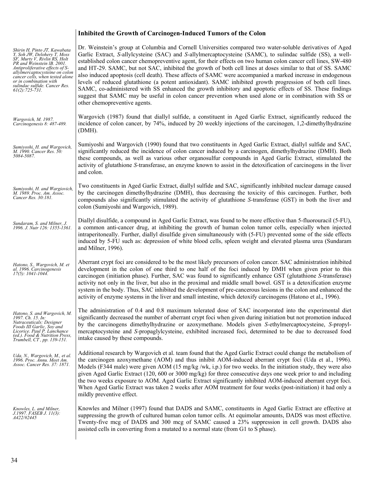### **Inhibited the Growth of Carcinogen-Induced Tumors of the Colon**

| Shirin H, Pinto JT, Kawabata<br>Y. Soh JW. Delohery T. Moss<br>SF, Murty V, Rivlin RS, Holt<br>PR and Weinstein IB. 2001.<br>Antiproliferative effects of S-<br>allylmercaptocysteine on colon<br>cancer cells, when tested alone<br>or in combination with<br>sulindac sulfide. Cancer Res.<br>$61(2): 725 - 731.$ | Dr. Weinstein's group at Columbia and Cornell Universities compared two water-soluble derivatives of Aged<br>Garlic Extract, S-allylcysteine (SAC) and S-allylmercaptocysteine (SAMC), to sulindac sulfide (SS), a well-<br>established colon cancer chemopreventive agent, for their effects on two human colon cancer cell lines, SW-480<br>and HT-29. SAMC, but not SAC, inhibited the growth of both cell lines at doses similar to that of SS. SAMC<br>also induced apoptosis (cell death). These affects of SAMC were accompanied a marked increase in endogenous<br>levels of reduced glutathione (a potent antioxidant). SAMC inhibited growth progression of both cell lines.<br>SAMC, co-administered with SS enhanced the growth inhibitory and apoptotic effects of SS. These findings<br>suggest that SAMC may be useful in colon cancer prevention when used alone or in combination with SS or<br>other chemopreventive agents. |
|---------------------------------------------------------------------------------------------------------------------------------------------------------------------------------------------------------------------------------------------------------------------------------------------------------------------|------------------------------------------------------------------------------------------------------------------------------------------------------------------------------------------------------------------------------------------------------------------------------------------------------------------------------------------------------------------------------------------------------------------------------------------------------------------------------------------------------------------------------------------------------------------------------------------------------------------------------------------------------------------------------------------------------------------------------------------------------------------------------------------------------------------------------------------------------------------------------------------------------------------------------------------------|
| Wargovich, M. 1987.<br>Carcinogenesis 8: 487-489.                                                                                                                                                                                                                                                                   | Wargovich (1987) found that diallyl sulfide, a constituent in Aged Garlic Extract, significantly reduced the<br>incidence of colon cancer, by 74%, induced by 20 weekly injections of the carcinogen, 1,2-dimethylhydrazine<br>(DMH).                                                                                                                                                                                                                                                                                                                                                                                                                                                                                                                                                                                                                                                                                                          |
| Sumiyoshi, H. and Wargovich,<br>M. 1990. Cancer Res. 50:<br>5084-5087.                                                                                                                                                                                                                                              | Sumiyoshi and Wargovich (1990) found that two constituents in Aged Garlic Extract, diallyl sulfide and SAC,<br>significantly reduced the incidence of colon cancer induced by a carcinogen, dimethylhydrazine (DMH). Both<br>these compounds, as well as various other organosulfur compounds in Aged Garlic Extract, stimulated the<br>activity of glutathione S-transferase, an enzyme known to assist in the detoxification of carcinogens in the liver<br>and colon.                                                                                                                                                                                                                                                                                                                                                                                                                                                                       |
| Sumiyoshi, H. and Wargiovich,<br>M. 1989. Proc. Am. Assoc.<br>Cancer Res. 30:181.                                                                                                                                                                                                                                   | Two constituents in Aged Garlic Extract, diallyl sulfide and SAC, significantly inhibited nuclear damage caused<br>by the carcinogen dimethylhydrazine (DMH), thus decreasing the toxicity of this carcinogen. Further, both<br>compounds also significantly stimulated the activity of glutathione S-transferase (GST) in both the liver and<br>colon (Sumiyoshi and Wargovich, 1989).                                                                                                                                                                                                                                                                                                                                                                                                                                                                                                                                                        |
| Sundaram, S. and Milner, J.<br>1996. J. Nutr 126: 1355-1361.                                                                                                                                                                                                                                                        | Diallyl disulfide, a compound in Aged Garlic Extract, was found to be more effective than 5-fluorouracil (5-FU),<br>a common anti-cancer drug, at inhibiting the growth of human colon tumor cells, especially when injected<br>intraperitoneally. Further, diallyl disulfide given simultaneously with (5-FU) prevented some of the side effects<br>induced by 5-FU such as: depression of white blood cells, spleen weight and elevated plasma urea (Sundaram<br>and Milner, 1996).                                                                                                                                                                                                                                                                                                                                                                                                                                                          |
| Hatono, S., Wargovich, M. et<br>al. 1996. Carcinogenesis<br>$17(5)$ : 1041-1044.                                                                                                                                                                                                                                    | Aberrant crypt foci are considered to be the most likely precursors of colon cancer. SAC administration inhibited<br>development in the colon of one third to one half of the foci induced by DMH when given prior to this<br>carcinogen (initiation phase). Further, SAC was found to significantly enhance GST (glutathione S-transferase)<br>activity not only in the liver, but also in the proximal and middle small bowel. GST is a detoxification enzyme<br>system in the body. Thus, SAC inhibited the development of pre-cancerous lesions in the colon and enhanced the<br>activity of enzyme systems in the liver and small intestine, which detoxify carcinogens (Hatono et al., 1996).                                                                                                                                                                                                                                            |
| Hatono, S. and Wargovich, M.<br>1997. Ch. 15. In:<br>Nutraceuticals: Designer<br>Foods III Garlic, Soy and<br>Licorice. Paul P. Lanchance<br>(ed.). Food & Nutrition Press,<br>Trumbell, CT, pp. 139-151.                                                                                                           | The administration of 0.4 and 0.8 maximum tolerated dose of SAC incorporated into the experimental diet<br>significantly decreased the number of aberrant crypt foci when given during initiation but not promotion induced<br>by the carcinogens dimethylhydrazine or azoxymethane. Models given S-ethylmercaptocysteine, S-propyl-<br>mercaptocysteine and S-propaglylcysteine, exhibited increased foci, determined to be due to decreased food<br>intake caused by these compounds.                                                                                                                                                                                                                                                                                                                                                                                                                                                        |
| Uda, N., Wargovich, M., et al.<br>1996. Proc. Annu. Meet Am.<br>Assoc. Cancer Res. 37: 1871.                                                                                                                                                                                                                        | Additional research by Wargovich et al. team found that the Aged Garlic Extract could change the metabolism of<br>the carcinogen azoxymethane (AOM) and thus inhibit AOM-induced aberrant crypt foci (Uda et al., 1996).<br>Models (F344 male) were given AOM (15 mg/kg/wk, i.p.) for two weeks. In the initiation study, they were also<br>given Aged Garlic Extract (120, 600 or 3000 mg/kg) for three consecutive days one week prior to and including<br>the two weeks exposure to AOM. Aged Garlic Extract significantly inhibited AOM-induced aberrant crypt foci.<br>When Aged Garlic Extract was taken 2 weeks after AOM treatment for four weeks (post-initiation) it had only a<br>mildly preventive effect.                                                                                                                                                                                                                         |
| Knowles, L. and Milner,<br>J.1997. FASEB J. 11(3):<br>4422/#2445                                                                                                                                                                                                                                                    | Knowles and Milner (1997) found that DADS and SAMC, constituents in Aged Garlic Extract are effective at<br>suppressing the growth of cultured human colon tumor cells. At equimolar amounts, DADS was most effective.<br>Twenty-five meg of DADS and 300 meg of SAMC caused a 23% suppression in cell growth. DADS also<br>assisted cells in converting from a mutated to a normal state (from G1 to S phase).                                                                                                                                                                                                                                                                                                                                                                                                                                                                                                                                |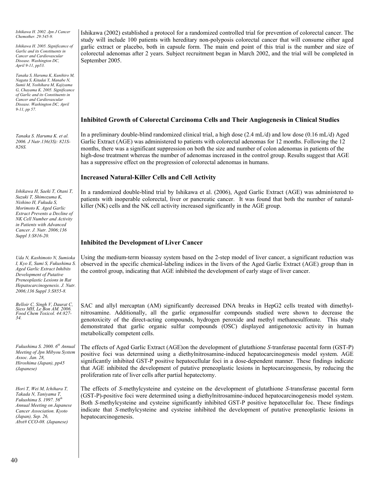*Ishikawa H. 2002. Jpn J Cancer Chemother. 29:545-9.* 

*Ishikawa H. 2005. Significance of Garlic and its Constituents in Cancer and Cardiovascular Disease. Washington DC, April 9-11, pp53.*

*Tanaka S, Haruma K, Kunihiro M, Nagata S, Kitadai Y, Manabe N, Sumii M, Yoshihara M, Kajiyama G, Chayama K. 2005. Significance of Garlic and its Constituents in Cancer and Cardiovascular Disease. Washington DC, April 9-11, pp 57.* 

*Tanaka S. Haruma K. et al. 2006. J Nutr.136(3S): 821S-826S.* 

*Ishikawa H, Saeki T, Otani T, Suzuki T, Shimozuma K, Nishino H, Fukuda S, Morimoto K. Aged Garlic Extract Prevents a Decline of NK Cell Number and Activity in Patients with Advanced Cancer. J. Nutr. 2006;136 Suppl 3:S816-20.* 

*Uda N, Kashimoto N, Sumioka I, Kyo E, Sumi S, Fukushima S. Aged Garlic Extract Inhibits Development of Putative Preneoplastic Lesions in Rat Hepatocarcinogenesis. J. Nutr. 2006;136 Suppl 3:S855-8.* 

*Belloir C, Singh V, Daurat C, Siess MH, Le Bon AM. 2006. Food Chem Toxicol. 44:827- 34.* 

*Fukushima S. 2000. 6th Annual Meeting of Jpn Mibyou System Assoc. Jan. 28, Hiroshima (Japan), pp45 (Japanese)* 

*Hori T, Wei M, Ichihara T, Takada N, Taniyama T, Fukushima S. 1997. 56th Annual Meeting on Japanese Cancer Association. Kyoto (Japan), Sep. 26, Abst# CCO-08. (Japanese)* 

Ishikawa (2002) established a protocol for a randomized controlled trial for prevention of colorectal cancer. The study will include 100 patients with hereditary non-polyposis colorectal cancer that will consume either aged garlic extract or placebo, both in capsule form. The main end point of this trial is the number and size of colorectal adenomas after 2 years. Subject recruitment began in March 2002, and the trial will be completed in September 2005.

#### **Inhibited Growth of Colorectal Carcinoma Cells and Their Angiogenesis in Clinical Studies**

In a preliminary double-blind randomized clinical trial, a high dose (2.4 mL/d) and low dose (0.16 mL/d) Aged Garlic Extract (AGE) was administered to patients with colorectal adenomas for 12 months. Following the 12 months, there was a significant suppression on both the size and number of colon adenomas in patients of the high-dose treatment whereas the number of adenomas increased in the control group. Results suggest that AGE has a suppressive effect on the progression of colorectal adenomas in humans.

#### **Increased Natural-Killer Cells and Cell Activity**

In a randomized double-blind trial by Ishikawa et al. (2006), Aged Garlic Extract (AGE) was administered to patients with inoperable colorectal, liver or pancreatic cancer. It was found that both the number of naturalkiller (NK) cells and the NK cell activity increased significantly in the AGE group.

#### **Inhibited the Development of Liver Cancer**

Using the medium-term bioassay system based on the 2-step model of liver cancer, a significant reduction was observed in the specific chemical-labeling indices in the livers of the Aged Garlic Extract (AGE) group than in the control group, indicating that AGE inhibited the development of early stage of liver cancer.

SAC and allyl mercaptan (AM) significantly decreased DNA breaks in HepG2 cells treated with dimethylnitrosamine. Additionally, all the garlic organosulfur compounds studied were shown to decrease the genotoxicity of the direct-acting compounds, hydrogen peroxide and methyl methanesulfonate. This study demonstrated that garlic organic sulfur compounds (OSC) displayed antigenotoxic activity in human metabolically competent cells.

The effects of Aged Garlic Extract (AGE)on the development of glutathione *S-*tranferase pacental form (GST-P) positive foci was determined using a diethylnitrosamine-induced hepatocarcinogenesis model system. AGE significantly inhibited GST-P positive hepatocellular foci in a dose-dependent manner. These findings indicate that AGE inhibited the development of putative preneoplastic lesions in heptocarcinogenesis, by reducing the proliferation rate of liver cells after partial hepatectomy.

The effects of *S-*methylcysteine and cysteine on the development of glutathione *S-*transferase pacental form (GST-P)-positive foci were determined using a diethylnitrosamine-induced hepatocarcinogenesis model system. Both *S-*methylcysteine and cysteine significantly inhibited GST-P positive hepatocellular foc. These findings indicate that *S-*methylcysteine and cysteine inhibited the development of putative preneoplastic lesions in hepatocarcinogenesis.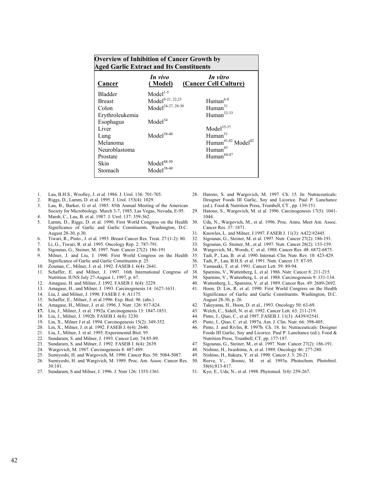| <b>Overview of Inhibition of Cancer Growth by</b><br><b>Aged Garlic Extract and Its Constituents</b> |                               |                                            |
|------------------------------------------------------------------------------------------------------|-------------------------------|--------------------------------------------|
| Cancer                                                                                               | In vivo<br>(Model)            | In vitro<br>(Cancer Cell Culture)          |
| <b>Bladder</b>                                                                                       | $Model1-5$                    |                                            |
| <b>Breast</b>                                                                                        | Model <sup>9-21, 22,23</sup>  | Human <sup>6-8</sup>                       |
| Colon                                                                                                | Model <sup>24-27, 28-30</sup> | Human $31$                                 |
| Erythroleukemia                                                                                      |                               | Human <sup>32-33</sup>                     |
| Esophagus                                                                                            | Model <sup>34</sup>           |                                            |
| Liver                                                                                                |                               | Model <sup>35-37</sup>                     |
| Lung                                                                                                 | $\mbox{Model}^{38\text{-}40}$ | Human $51$                                 |
| Melanoma                                                                                             |                               | Human <sup>41,42</sup> Model <sup>42</sup> |
| Neuroblastoma                                                                                        |                               | Human <sup>43</sup>                        |
| Prostate                                                                                             |                               | Human <sup>44-47</sup>                     |
| Skin                                                                                                 | $Model48-50$                  |                                            |
| Stomach                                                                                              | $Model38-40$                  |                                            |
|                                                                                                      |                               |                                            |

- 1. Lau, B.H.S., Woolley, J. et al. 1986. J. Urol. 136: 701-705.
- 2. Riggs, D., Lamm, D. et al. 1995. J. Urol. 153(4): 1029.
- Lau, B., Barker, G et al. 1985. 85th Annual Meeting of the American Society for Microbiology. March 3-7, 1985, Las Vegas, Nevada, E-95.
- 4. Marsh, C., Lau, B. et al. 1987. J. Urol. 137: 359-362.
- 5. Lamm, D., Riggs, D. et al. 1990. First World Congress on the Health Significance of Garlic and Garlic Constituents. Washington, D.C. August 28-30, p.30.
- 6. Tiwari, R., Pinto., J. et al. 1993. Breast Cancer Res. Treat. 27:(1-2): 80.
- 7. Li, G., Tiwari, R. et al. 1995. Oncology Rep. 2: 787-791.
- 8. Sigounas, G., Steiner, M. 1997. Nutr. Cancer 27(2): 186-191
- 9. Milner, J. and Liu, J. 1990. First World Congress on the Health Significance of Garlic and Garlic Constituents p. 25.
- 10. Zoumas, C., Milner, J. et al. 1992. FASEB J. 6(4): 2641.
- 11. Schaffer, E. and Milner, J. 1997. 16th International Congress of Nutrition. IUNS July 27-August 1, 1997, p. 67.
- 12. Amagase, H. and Milner, J. 1992. FASEB J. 6(4): 3229.
- 13. Amagase, H., and Milner, J. 1993. Carcinogenesis 14: 1627-1631.
- 14. Liu, J. and Milner, J. 1990. FASEB J. 4: A1175.
- 15. Schaffer, E., Milner, J. et al.1996. Exp. Biol. 96. (abs.)
- 16. Amagase, H., Milner, J. et al. 1996. J. Nutr. 126: 817-824.
- **17.** Liu, J., Milner, J. et al. 1992a. Carcinogenesis 13: 1847-1851.
- 18. Liu, J., Milner, J. 1992b. FASEB J. 6(4): 3230.
- 19. Lin, X., Milner J et al. 1994. Carcinogenesis 15(2): 349-352.
- 20. Lin, X., Milner, J. et al. 1992. FASEB J. 6(4): 2640.
- 21. Liu, J., Milner, J. et al. 1995. Experimental Biol. 95.
- 22. Sundaram, S. and Milner, J. 1993. Cancer Lett. 74:85-89.
- 23. Sundaram, S. and Milner, J. 1992. FASEB J. 6(4): 2639.
- 24. Wargovich, M. 1987. Carcinogenesis 8: 487-489.
- 25. Sumiyoshi, H. and Wargovich, M. 1990. Cancer Res. 50: 5084-5087.
- 26. Sumiyoshi, H. and Wargivich, M. 1989. Proc. Am. Assoc. Cancer Res. 30:181.
- 27. Sundaram, S and Milner, J. 1996. J. Nutr 126: 1355-1361.
- 28. Hatono, S. and Wargovich, M. 1997. Ch. 15. In: Nutraceuticals: Designer Foods III Garlic, Soy and Licorice. Paul P. Lanchance (ed.). Food & Nutrition Press, Trumbell, CT , pp. 139-151.
- 29. Hatono, S., Wargovich, M. et al. 1996. Carcinogenesis 17(5): 1041- 1044.
- 30. Uda, N., Wargovich, M., et al. 1996. Proc. Annu. Meet Am. Assoc. Cancer Res. 37: 1871.
- 31. Knowles, L. and Milner, J.1997. FASEB J. 11(3): A422/#2445.
- 32. Sigounas, G., Steiner, M. et al. 1997. Nutr. Cancer 27(2): 186-191.
- 33. Sigounas, G. Steiner, M., et al. 1997. Nutr. Cancer 28(2): 153-159.
- 34. Wargovich, M., Woods, C. et al. 1988. Cancer Res. 48: 6872-6875.
- 35. Tadi, P., Lau, B. et al. 1990. Internat. Clin. Nutr. Rev. 10: 423-429.
- 36. Tadi, P., Lau, B.H.S. et al. 1991. Nutr. Cancer 15: 87-95.
- 37. Yamasaki, T. et al. 1991. Cancer Lett. 59: 89-94.
- 38. Sparnins, V., Wattenberg, L. et al. 1986. Nutr. Cancer 8: 211-215.
- 39. Sparnins, V., Wattenberg, L. et al. 1988. Carcinogenesis 9: 131-134.
- 40. Wattenberg, L., Sparnins, V. et al. 1989. Cancer Res. 49: 2689-2692.
- 41. Hoon, D. Lin, R. et al. 1990. First World Congress on the Health Significance of Garlic and Garlic Constituents. Washington, D.C. August 28-30, p. 26.
- 42. Takeyama, H., Hoon, D. et al., 1993. Oncology 50: 63-69.
- 43. Welch, C., Sidell, N. et al. 1992. Cancer Lett. 63: 211-219.
- 44. Pinto, J., Qiao, C., et al 1997. FASEB J. 11(3): A439/#2541.
- 45. Pinto, J., Qiao, C. et al. 1997a. Am. J. Clin. Nutr. 66: 398-405.
- 46. Pinto, J. and Rivlin, R. 1997b. Ch. 18. In: Nutraceuticals: Designer Foods III Garlic, Soy and Licorice. Paul P. Lanchance (ed.). Food & Nutrition Press, Trumbell, CT, pp. 177-187.
- 47. Sigounas, G., Steiner, M., et al. 1997. Nutr. Cancer 27(2): 186-191.
- 48. Nishino, H., Iwashima, A. et al. 1989. Oncology 46: 277-280.
- 49. Nishino, H., Itakura, Y. et al. 1990. Cancer J. 3: 20-21.
- 50. Reeve, V., Bosnic, M. et al. 1993a. Photochem. Photobiol. 58(6):813-817.
- 51. Kyo, E., Uda, N., et al. 1998. Phytomed. 5(4): 259-267.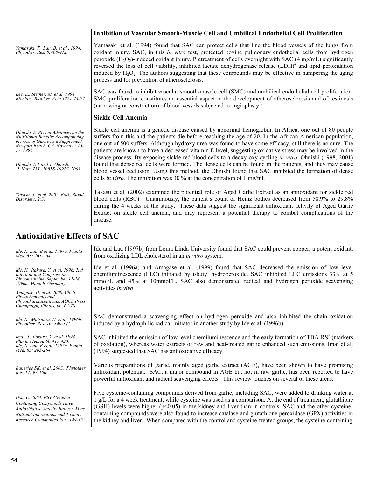|                                                                                                                                                                                                                                   | Inhibition of Vascular Smooth-Muscle Cell and Umbilical Endothelial Cell Proliferation                                                                                                                                                                                                                                                                                                                                                                                                                                                                                                                                                                                                                                                                                                                                                                                    |
|-----------------------------------------------------------------------------------------------------------------------------------------------------------------------------------------------------------------------------------|---------------------------------------------------------------------------------------------------------------------------------------------------------------------------------------------------------------------------------------------------------------------------------------------------------------------------------------------------------------------------------------------------------------------------------------------------------------------------------------------------------------------------------------------------------------------------------------------------------------------------------------------------------------------------------------------------------------------------------------------------------------------------------------------------------------------------------------------------------------------------|
| Yamasaki, T., Lau, B. et al., 1994.<br>Phytother. Res. 8:408-412.                                                                                                                                                                 | Yamasaki et al. (1994) found that SAC can protect cells that line the blood vessels of the lungs from<br>oxidant injury. SAC, in this <i>in vitro</i> test, protected bovine pulmonary endothelial cells from hydrogen<br>peroxide $(H_2O_2)$ -induced oxidant injury. Pretreatment of cells overnight with SAC (4 mg/mL) significantly<br>reversed the loss of cell viability, inhibited lactate dehydrogenase release $(LDH)^4$ and lipid peroxidation<br>induced by $H_2O_2$ . The authors suggesting that these compounds may be effective in hampering the aging<br>process and for prevention of atherosclerosis.                                                                                                                                                                                                                                                   |
| Lee, E., Steiner, M. et al. 1994.<br>Biochim. Biophys. Acta 1221:73-77.                                                                                                                                                           | SAC was found to inhibit vascular smooth-muscle cell (SMC) and umbilical endothelial cell proliferation.<br>SMC proliferation constitutes an essential aspect in the development of atherosclerosis and of restinosis<br>(narrowing or constriction) of blood vessels subjected to angioplasty. <sup>6</sup>                                                                                                                                                                                                                                                                                                                                                                                                                                                                                                                                                              |
|                                                                                                                                                                                                                                   | <b>Sickle Cell Anemia</b>                                                                                                                                                                                                                                                                                                                                                                                                                                                                                                                                                                                                                                                                                                                                                                                                                                                 |
| Ohnishi, S. Recent Advances on the<br>Nutritional Benefits Accompanying<br>the Use of Garlic as a Supplement.<br>Newport Beach, CA. November 15-<br>17, 1998.<br>Ohnishi, S.T and T. Ohnishi,<br>J. Nutr, 131: 1085S-1092S, 2001. | Sickle cell anemia is a genetic disease caused by abnormal hemoglobin. In Africa, one out of 80 people<br>suffers from this and the patients die before reaching the age of 20. In the African American population,<br>one out of 500 suffers. Although hydroxy urea was found to have some efficacy, still there is no cure. The<br>patients are known to have a decreased vitamin E level, suggesting oxidative stress may be involved in the<br>disease process. By exposing sickle red blood cells to a deoxy-oxy cycling in vitro, Ohnishi (1998, 2001)<br>found that dense red cells were formed. The dense cells can be found in the patients, and they may cause<br>blood vessel occlusion. Using this method, the Ohnishi found that SAC inhibited the formation of dense<br>cells <i>in vitro</i> . The inhibition was 30 $\%$ at the concentration of 1 mg/ml. |
| Takasu, J., et al. 2002. BMC Blood<br>Disorders, 2:3.                                                                                                                                                                             | Takasu et al. (2002) examined the potential role of Aged Garlic Extract as an antioxidant for sickle red<br>blood cells (RBC). Unanimously, the patient's count of Heinz bodies decreased from 58.9% to 29.8%<br>during the 4 weeks of the study. These data suggest the significant antioxidant activity of Aged Garlic<br>Extract on sickle cell anemia, and may represent a potential therapy to combat complications of the<br>disease.                                                                                                                                                                                                                                                                                                                                                                                                                               |
|                                                                                                                                                                                                                                   |                                                                                                                                                                                                                                                                                                                                                                                                                                                                                                                                                                                                                                                                                                                                                                                                                                                                           |

## **Antioxidative Effects of SAC**

| Ide, N. Lau, B et al. 1997a. Planta<br>Med. 63: 263-264.                                                                                                                          | Ide and Lau (1997b) from Loma Linda University found that SAC could prevent copper, a potent oxidant,<br>from oxidizing LDL cholesterol in an <i>in vitro</i> system.                                                                                                                                                                                                                                                                                                                                                                                       |
|-----------------------------------------------------------------------------------------------------------------------------------------------------------------------------------|-------------------------------------------------------------------------------------------------------------------------------------------------------------------------------------------------------------------------------------------------------------------------------------------------------------------------------------------------------------------------------------------------------------------------------------------------------------------------------------------------------------------------------------------------------------|
| Ide, N., Itakura, Y. et al. 1996. 2nd<br><b>International Congress on</b><br>Phytomedicine. September 11-14,<br>1996a. Munich, Germany.                                           | Ide et al. (1996a) and Amagase et al. (1999) found that SAC decreased the emission of low level<br>chemiluminescence (LLC) initiated by t-butyl hydroperoxide. SAC inhibited LLC emissions 33% at 5<br>mmol/L and 45% at 10mmol/L. SAC also demonstrated radical and hydrogen peroxide scavenging<br>activities in vivo.                                                                                                                                                                                                                                    |
| Amagase, H. et al. 2000. Ch. 6.<br>Phytochemicals and<br>Phytopharmaceuticals. AOCS Press.<br>Champaign, Illinois, pp. 62-78.                                                     |                                                                                                                                                                                                                                                                                                                                                                                                                                                                                                                                                             |
| Ide, N., Matsuura, H. et al. 1996b.<br>Phytother. Res. 10: 340-341.                                                                                                               | SAC demonstrated a scavenging effect on hydrogen peroxide and also inhibited the chain oxidation<br>induced by a hydrophilic radical initiator in another study by Ide et al. (1996b).                                                                                                                                                                                                                                                                                                                                                                      |
| Imai, J., Itakura, Y. et al. 1994.<br>Planta Medica 60:417-420.<br>Ide, N. Lau, B et al. 1997a. Planta<br>Med. 63: 263-264.                                                       | SAC inhibited the emission of low level chemiluminescence and the early formation of TBA-RS <sup>5</sup> (markers<br>of oxidation), whereas water extracts of raw and heat-treated garlic enhanced such emissions. Imai et al.<br>(1994) suggested that SAC has antioxidative efficacy.                                                                                                                                                                                                                                                                     |
| Banerjee SK, et al. 2003. Phytother<br>Res. 17: 97-106.                                                                                                                           | Various preparations of garlic, mainly aged garlic extract (AGE), have been shown to have promising<br>antioxidant potential. SAC, a major compound in AGE but not in raw garlic, has been reported to have<br>powerful antioxidant and radical scavenging effects. This review touches on several of these areas.                                                                                                                                                                                                                                          |
| Hsu, C. 2004. Five Cysteine-<br><b>Containing Compounds Have</b><br>Antioxidative Activity Balb/cA Mice<br>Nutrient Interactions and Toxicity<br>Research Communication. 149-152. | Five cysteine-containing compounds derived from garlic, including SAC, were added to drinking water at<br>1 g/L for a 4 week treatment, while cysteine was used as a comparison. At the end of treatment, glutathione<br>(GSH) levels were higher $(p<0.05)$ in the kidney and liver than in controls. SAC and the other cysteine-<br>containing compounds were also found to increase catalase and glutathione peroxidase (GPX) activities in<br>the kidney and liver. When compared with the control and cysteine-treated groups, the cysteine-containing |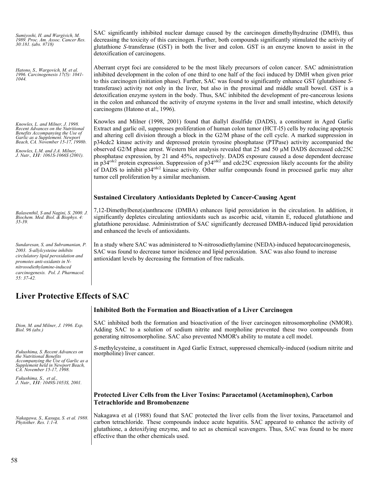| Sumiyoshi, H. and Wargivich, M.<br>1989. Proc. Am. Assoc. Cancer Res.<br>$30:181.$ (abs. #718)                                                                                                                                                             | SAC significantly inhibited nuclear damage caused by the carcinogen dimethylhydrazine (DMH), thus<br>decreasing the toxicity of this carcinogen. Further, both compounds significantly stimulated the activity of<br>glutathione S-transferase (GST) in both the liver and colon. GST is an enzyme known to assist in the<br>detoxification of carcinogens.                                                                                                                                                                                                                                                                                                                                                                                                                                                                                                                                                                                                           |
|------------------------------------------------------------------------------------------------------------------------------------------------------------------------------------------------------------------------------------------------------------|-----------------------------------------------------------------------------------------------------------------------------------------------------------------------------------------------------------------------------------------------------------------------------------------------------------------------------------------------------------------------------------------------------------------------------------------------------------------------------------------------------------------------------------------------------------------------------------------------------------------------------------------------------------------------------------------------------------------------------------------------------------------------------------------------------------------------------------------------------------------------------------------------------------------------------------------------------------------------|
| Hatono, S., Wargovich, M. et al.<br>1996. Carcinogenesis 17(5): 1041-<br>1044.                                                                                                                                                                             | Aberrant crypt foci are considered to be the most likely precursors of colon cancer. SAC administration<br>inhibited development in the colon of one third to one half of the foci induced by DMH when given prior<br>to this carcinogen (initiation phase). Further, SAC was found to significantly enhance GST (glutathione S-<br>transferase) activity not only in the liver, but also in the proximal and middle small bowel. GST is a<br>detoxification enzyme system in the body. Thus, SAC inhibited the development of pre-cancerous lesions<br>in the colon and enhanced the activity of enzyme systems in the liver and small intestine, which detoxify<br>carcinogens (Hatono et al., 1996).                                                                                                                                                                                                                                                               |
| Knowles, L. and Milner, J. 1998.<br>Recent Advances on the Nutritional<br>Benefits Accompanying the Use of<br>Garlic as a Supplement. Newport<br>Beach, CA. November 15-17, 1998b.<br>Knowles, L.M. and J.A. Milner,<br>J. Nutr., 131: 1061S-1066S (2001). | Knowles and Milner (1998, 2001) found that diallyl disulfide (DADS), a constituent in Aged Garlic<br>Extract and garlic oil, suppresses proliferation of human colon tumor (HCT-15) cells by reducing apoptosis<br>and altering cell division through a block in the G2/M phase of the cell cycle. A marked suppression in<br>p34cdc2 kinase activity and depressed protein tyrosine phosphatase (PTPase) activity accompanied the<br>observed G2/M phase arrest. Western blot analysis revealed that 25 and 50 $\mu$ M DADS decreased cdc25C<br>phosphatase expression, by 21 and 45%, respectively. DADS exposure caused a dose dependent decrease<br>in $p34^{\text{cdc2}}$ protein expression. Suppression of $p34^{\text{cdc2}}$ and cdc25C expression likely accounts for the ability<br>of DADS to inhibit $p34^{\text{cdc2}}$ kinase activity. Other sulfur compounds found in processed garlic may alter<br>tumor cell proliferation by a similar mechanism. |
|                                                                                                                                                                                                                                                            | <b>Sustained Circulatory Antioxidants Depleted by Cancer-Causing Agent</b>                                                                                                                                                                                                                                                                                                                                                                                                                                                                                                                                                                                                                                                                                                                                                                                                                                                                                            |
| Balasenthil, S and Nagini, S. 2000. J.<br>Biochem. Med. Biol. & Biophys. 4:<br>$35 - 39$ .                                                                                                                                                                 | 7,12-Dimethylbenz(a)anthracene (DMBA) enhances lipid peroxidation in the circulation. In addition, it<br>significantly depletes circulating antioxidants such as ascorbic acid, vitamin E, reduced glutathione and<br>glutathione peroxidase. Administration of SAC significantly decreased DMBA-induced lipid peroxidation<br>and enhanced the levels of antioxidants.                                                                                                                                                                                                                                                                                                                                                                                                                                                                                                                                                                                               |
| Sundaresan, S, and Subramanian, P.<br>2003. S-allylcysteine inhibits<br>circlulatory lipid peroxidation and<br>promotes anti-oxidants in N-<br>nitrosodiethylamine-induced<br>carcinogenesis. Pol. J. Pharmacol.<br>$55:37-42.$                            | In a study where SAC was administered to N-nitrosodiethylamine (NEDA)-induced hepatocarcinogenesis,<br>SAC was found to decrease tumor incidence and lipid peroxidation. SAC was also found to increase<br>antioxidant levels by decreasing the formation of free radicals.                                                                                                                                                                                                                                                                                                                                                                                                                                                                                                                                                                                                                                                                                           |

# **Liver Protective Effects of SAC**

|                                                                                                                                                                       | Inhibited Both the Formation and Bioactivation of a Liver Carcinogen                                                                                                                                                                                                                                                                                               |
|-----------------------------------------------------------------------------------------------------------------------------------------------------------------------|--------------------------------------------------------------------------------------------------------------------------------------------------------------------------------------------------------------------------------------------------------------------------------------------------------------------------------------------------------------------|
| Dion, M. and Milner, J. 1996. Exp.<br>Biol. 96 (abs.)                                                                                                                 | SAC inhibited both the formation and bioactivation of the liver carcinogen nitrosomorpholine (NMOR).<br>Adding SAC to a solution of sodium nitrite and morpholine prevented these two compounds from<br>generating nitrosomorpholine. SAC also prevented NMOR's ability to mutate a cell model.                                                                    |
| Fukushima, S. Recent Advances on<br>the Nutritional Benefits<br>Accompanying the Use of Garlic as a<br>Supplement held in Newport Beach,<br>CA. November 15-17, 1998. | S-methylcysteine, a constituent in Aged Garlic Extract, suppressed chemically-induced (sodium nitrite and<br>morpholine) liver cancer.                                                                                                                                                                                                                             |
| Fukushima, S., et al.,<br>J. Nutr., 131: 1049S-1053S, 2001.                                                                                                           |                                                                                                                                                                                                                                                                                                                                                                    |
|                                                                                                                                                                       | Protected Liver Cells from the Liver Toxins: Paracetamol (Acetaminophen), Carbon<br><b>Tetrachloride and Bromobenzene</b>                                                                                                                                                                                                                                          |
| Nakagawa, S., Kasuga, S. et al. 1988.<br>Phytother. Res. 1:1-4.                                                                                                       | Nakagawa et al (1988) found that SAC protected the liver cells from the liver toxins, Paracetamol and<br>carbon tetrachloride. These compounds induce acute hepatitis. SAC appeared to enhance the activity of<br>glutathione, a detoxifying enzyme, and to act as chemical scavengers. Thus, SAC was found to be more<br>effective than the other chemicals used. |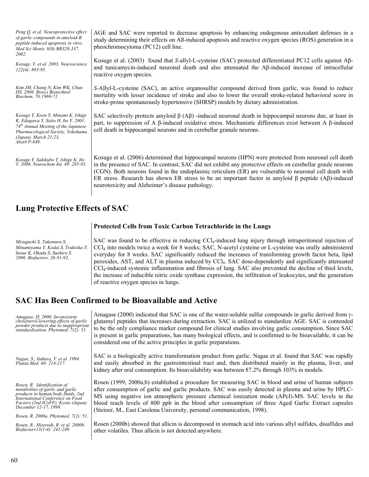| Peng Q, et al. Neuroprotective effect<br>of garlic compounds in amyloid-B<br>peptide-induced apoptosis in vitro.<br>Med Sci Monit. 8(8): BR328-337,<br>2002.<br>Kosuge, Y. et al. 2003, Neuroscience. | AGE and SAC were reported to decrease apoptosis by enhancing endogenous antioxidant defenses in a<br>study determining their effects on Aß-induced apoptosis and reactive oxygen species (ROS) generation in a<br>pheochromocytoma (PC12) cell line.<br>Kosuge et al. (2003) found that S-allyl-L-cysteine (SAC) protected differentiated PC12 cells against $\mathsf{A}\beta$ -<br>and tunicamycin-induced neuronal death and also attenuated the AB-induced increase of intracellular                   |
|-------------------------------------------------------------------------------------------------------------------------------------------------------------------------------------------------------|-----------------------------------------------------------------------------------------------------------------------------------------------------------------------------------------------------------------------------------------------------------------------------------------------------------------------------------------------------------------------------------------------------------------------------------------------------------------------------------------------------------|
| $122(4): 885-95.$                                                                                                                                                                                     | reactive oxygen species.                                                                                                                                                                                                                                                                                                                                                                                                                                                                                  |
| Kim JM, Chang N, Kim WK, Chun<br>HS. 2006. Biosci Biotechnol<br>Biochem. 70:1969-71.                                                                                                                  | S-Allyl-L-cysteine (SAC), an active organosulfur compound derived from garlic, was found to reduce<br>mortality with lesser incidence of stroke and also to lower the overall stroke-related behavioral score in<br>stroke-prone spontaneously hypertensive (SHRSP) models by dietary administration.                                                                                                                                                                                                     |
| Kosuge Y, Koen Y, Minami K, Ishige<br>K, Edagawa Y, Saito H, Ito Y. 2001.<br>$74th$ Annual Meeting of the Japanese<br>Pharmacological Society. Yokohama<br>(Japan), March 21-23,<br>$Abst\#P-849$     | SAC selectively protects amyloid $\beta$ (A $\beta$ ) -induced neuronal death in hippocampal neurons due, at least in<br>part, to suppression of A $\beta$ -induced oxidative stress. Mechanistic differences exist between A $\beta$ -induced<br>cell death in hippocampal neurons and in cerebellar granule neurons.                                                                                                                                                                                    |
| Kosuge Y, Sakikubo T, Ishige K, Ito<br>Y. 2006. Neurochem Int. 49: 285-93.                                                                                                                            | Kosuge et al. (2006) determined that hippocampal neurons (HPN) were protected from neuronal cell death<br>in the presence of SAC. In contrast, SAC did not exhibit any protective effects on cerebellar graule neurons<br>(CGN). Both neurons found in the endoplasmic reticulum (ER) are vulnerable to neuronal cell death with<br>ER stress. Research has shown ER stress to be an important factor in amyloid $\beta$ peptide (A $\beta$ )-induced<br>neurotoxicity and Alzheimer's disease pathology. |

## **Lung Protective Effects of SAC**

**Protected Cells from Toxic Carbon Tetrachloride in the Lungs** 

*Mizuguchi S, Takemura S, Minamiyama Y, Kodai S, Tsukioka T, Inoue K, Okada S, Suehiro S. 2006. Biofactors. 26:81-92.* 

SAC was found to be effective in reducing CCl<sub>4</sub>-induced lung injury through intraperitoneal injection of CCl4 into models twice a week for 8 weeks; SAC, N-acetyl cysteine or L-cysteine was orally administered everyday for 8 weeks. SAC significantly reduced the increases of transforming growth factor beta, lipid peroxides, AST, and ALT in plasma induced by CCl4. SAC dose-dependently and significantly attenuated CCl4-induced systemic inflammation and fibrosis of lung. SAC also prevented the decline of thiol levels, the increase of inducible nitric oxide synthase expression, the infiltration of leukocytes, and the generation of reactive oxygen species in lungs.

### **SAC Has Been Confirmed to be Bioavailable and Active**

| Amagase, H. 2000. Inconsistent<br>cholesterol-lowering effects of garlic<br>powder products due to inappropriate<br>standardization. Phytomed. 7(2): 51.                                                                                         | Amagase (2000) indicated that SAC is one of the water-soluble sulfur compounds in garlic derived from $\gamma$ -<br>glutamyl peptides that increases during extraction. SAC is utilized to standardize AGE. SAC is contended<br>to be the only compliance marker compound for clinical studies involving garlic consumption. Since SAC<br>is present in garlic preparations, has many biological effects, and is confirmed to be bioavailable, it can be<br>considered one of the active principles in garlic preparations. |
|--------------------------------------------------------------------------------------------------------------------------------------------------------------------------------------------------------------------------------------------------|-----------------------------------------------------------------------------------------------------------------------------------------------------------------------------------------------------------------------------------------------------------------------------------------------------------------------------------------------------------------------------------------------------------------------------------------------------------------------------------------------------------------------------|
| Nagae, S., Itakura, Y. et al. 1994.<br>Planta Med. 60: 214-217.                                                                                                                                                                                  | SAC is a biologically active transformation product from garlic. Nagae et al. found that SAC was rapidly<br>and easily absorbed in the gastrointestinal tract and, then distributed mainly in the plasma, liver, and<br>kidney after oral consumption. Its bioavailability was between 87.2% through 103% in models.                                                                                                                                                                                                        |
| Rosen, R. Identification of<br>metabolites of garlic and garlic<br>products in human body fluids, 2nd<br>International Conference on Food<br>Factors (2nd ICoFF), Kyoto (Japan)<br>December 12-17, 1999.<br>Rosen, R. 2000a. Phytomed. 7(2): 51. | Rosen (1999, 2000a,b) established a procedure for measuring SAC in blood and urine of human subjects<br>after consumption of garlic and garlic products. SAC was easily detected in plasma and urine by HPLC-<br>MS using negative ion atmospheric pressure chemical ionization mode (APcI)-MS. SAC levels in the<br>blood reach levels of 800 ppb in the blood after consumption of three Aged Garlic Extract capsules<br>(Steiner, M., East Carolona University, personal communication, 1998).                           |
| Rosen, R., Hiserodt, R. et al. 2000b.<br>Biofactors13(1-4): 241-249.                                                                                                                                                                             | Rosen (2000b) showed that allicin is decomposed in stomach acid into various allyl sulfides, disulfides and<br>other volatiles. Thus allicin is not detected anywhere.                                                                                                                                                                                                                                                                                                                                                      |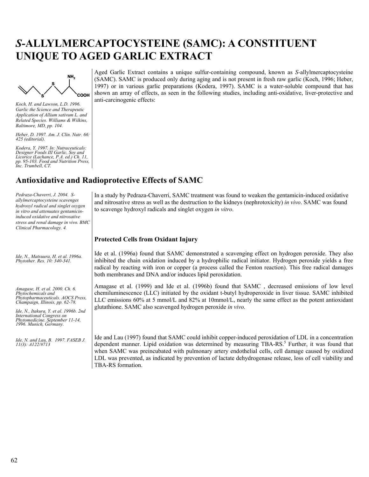# *S-***ALLYLMERCAPTOCYSTEINE (SAMC): A CONSTITUENT UNIQUE TO AGED GARLIC EXTRACT**



*Koch, H. and Lawson, L.D. 1996. Garlic the Science and Therapeutic Application of Allium sativum L. and Related Species. Williams & Wilkins, Baltimore, MD, pp. 104.* 

*Heber, D. 1997. Am. J. Clin. Nutr. 66: 425 (editorial).* 

*Kodera, Y. 1997. In: Nutraceuticals: Designer Foods III Garlic, Soy and Licorice (Lachance, P.A. ed.) Ch. 11, pp. 95-103. Food and Nutrition Press, Inc. Trumbell, CT.*

## **Antioxidative and Radioprotective Effects of SAMC**

*Pedraza-Chaverri, J. 2004. Sallylmercaptocysteine scavenges hydroxyl radical and singlet oxygen in vitro and attenuates gentamicininduced oxidative and nitrosative stress and renal damage in vivo. BMC Clinical Pharmacology. 4.* 

*Ide, N., Matsuura, H. et al. 1996a. Phytother. Res. 10: 340-341.* 

*Amagase, H. et al. 2000. Ch. 6. Phytochemicals and Phytopharmaceuticals. AOCS Press, Champaign, Illinois, pp. 62-78.* 

*Ide, N., Itakura, Y. et al. 1996b. 2nd International Congress on Phytomedicine. September 11-14, 1996. Munich, Germany.* 

*Ide, N. and Lau, B. 1997. FASEB J. 11(3): A122/#713* 

Aged Garlic Extract contains a unique sulfur-containing compound, known as *S-*allylmercaptocysteine (SAMC). SAMC is produced only during aging and is not present in fresh raw garlic (Koch, 1996; Heber, 1997) or in various garlic preparations (Kodera, 1997). SAMC is a water-soluble compound that has shown an array of effects, as seen in the following studies, including anti-oxidative, liver-protective and anti-carcinogenic effects:

In a study by Pedraza-Chaverri, SAMC treatment was found to weaken the gentamicin-induced oxidative and nitrosative stress as well as the destruction to the kidneys (nephrotoxicity) *in vivo*. SAMC was found to scavenge hydroxyl radicals and singlet oxygen *in vitro*.

#### **Protected Cells from Oxidant Injury**

Ide et al. (1996a) found that SAMC demonstrated a scavenging effect on hydrogen peroxide. They also inhibited the chain oxidation induced by a hydrophilic radical initiator. Hydrogen peroxide yields a free radical by reacting with iron or copper (a process called the Fenton reaction). This free radical damages both membranes and DNA and/or induces lipid peroxidation.

Amagase et al. (1999) and Ide et al. (1996b) found that SAMC , decreased emissions of low level chemiluminescence (LLC) initiated by the oxidant t-butyl hydroperoxide in liver tissue. SAMC inhibited LLC emissions 60% at 5 mmol/L and 82% at 10mmol/L, nearly the same effect as the potent antioxidant glutathione. SAMC also scavenged hydrogen peroxide *in vivo.*

Ide and Lau (1997) found that SAMC could inhibit copper-induced peroxidation of LDL in a concentration dependent manner. Lipid oxidation was determined by measuring TBA-RS.<sup>5</sup> Further, it was found that when SAMC was preincubated with pulmonary artery endothelial cells, cell damage caused by oxidized LDL was prevented, as indicated by prevention of lactate dehydrogenase release, loss of cell viability and TBA-RS formation.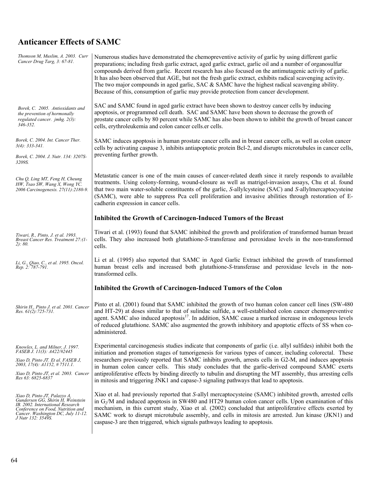# **Anticancer Effects of SAMC**

| Thomson M, Muslim, A. 2003. Curr<br>Cancer Drug Targ, 3: 67-81.                                                                                                                                        | Numerous studies have demonstrated the chemopreventive activity of garlic by using different garlic<br>preparations; including fresh garlic extract, aged garlic extract, garlic oil and a number of organosulfur<br>compounds derived from garlic. Recent research has also focused on the antimutagenic activity of garlic.<br>It has also been observed that AGE, but not the fresh garlic extract, exhibits radical scavenging activity.<br>The two major compounds in aged garlic, SAC $\&$ SAMC have the highest radical scavenging ability.<br>Because of this, consumption of garlic may provide protection from cancer development.       |
|--------------------------------------------------------------------------------------------------------------------------------------------------------------------------------------------------------|----------------------------------------------------------------------------------------------------------------------------------------------------------------------------------------------------------------------------------------------------------------------------------------------------------------------------------------------------------------------------------------------------------------------------------------------------------------------------------------------------------------------------------------------------------------------------------------------------------------------------------------------------|
| Borek, C. 2005. Antioxidants and<br>the prevention of hormonally<br>regulated cancer. jmhg. 2(3):<br>346-352.                                                                                          | SAC and SAMC found in aged garlic extract have been shown to destroy cancer cells by inducing<br>apoptosis, or programmed cell death. SAC and SAMC have been shown to decrease the growth of<br>prostate cancer cells by 80 percent while SAMC has also been shown to inhibit the growth of breast cancer<br>cells, erythroleukemia and colon cancer cells.er cells.                                                                                                                                                                                                                                                                               |
| Borek, C. 2004. Int. Cancer Ther.<br>$3(4)$ : 333-341.<br>Borek, C. 2004. J. Nutr. 134: 3207S-<br>3209S.                                                                                               | SAMC induces apoptosis in human prostate cancer cells and in breast cancer cells, as well as colon cancer<br>cells by activating caspase 3, inhibits antiapoptotic protein Bcl-2, and disrupts microtubules in cancer cells,<br>preventing further growth.                                                                                                                                                                                                                                                                                                                                                                                         |
| Chu Q, Ling MT, Feng H, Cheung<br>HW, Tsao SW, Wang X, Wong YC.<br>2006 Carcinogenesis. 27(11):2180-9.                                                                                                 | Metastatic cancer is one of the main causes of cancer-related death since it rarely responds to available<br>treatments. Using colony-forming, wound-closure as well as matrigel-invasion assays, Chu et al. found<br>that two main water-soluble constituents of the garlic, S-allylcysteine (SAC) and S-allylmercaptocysteine<br>(SAMC), were able to suppress Pca cell proliferation and invasive abilities through restoration of E-<br>cadherin expression in cancer cells.                                                                                                                                                                   |
|                                                                                                                                                                                                        | Inhibited the Growth of Carcinogen-Induced Tumors of the Breast                                                                                                                                                                                                                                                                                                                                                                                                                                                                                                                                                                                    |
| Tiwari, R., Pinto, J. et al. 1993.<br>Breast Cancer Res. Treatment 27:(1-<br>2): 80.                                                                                                                   | Tiwari et al. (1993) found that SAMC inhibited the growth and proliferation of transformed human breast<br>cells. They also increased both glutathione-S-transferase and peroxidase levels in the non-transformed<br>cells.                                                                                                                                                                                                                                                                                                                                                                                                                        |
| Li, G., Qiao, C., et al. 1995. Oncol.<br>Rep. 2: 787-791.                                                                                                                                              | Li et al. (1995) also reported that SAMC in Aged Garlic Extract inhibited the growth of transformed<br>human breast cells and increased both glutathione-S-transferase and peroxidase levels in the non-<br>transformed cells.                                                                                                                                                                                                                                                                                                                                                                                                                     |
|                                                                                                                                                                                                        | Inhibited the Growth of Carcinogen-Induced Tumors of the Colon                                                                                                                                                                                                                                                                                                                                                                                                                                                                                                                                                                                     |
| Shirin H., Pinto J. et al. 2001. Cancer<br>Res. $61(2): 725-731$ .                                                                                                                                     | Pinto et al. (2001) found that SAMC inhibited the growth of two human colon cancer cell lines (SW-480)<br>and HT-29) at doses similar to that of sulindac sulfide, a well-established colon cancer chemopreventive<br>agent. SAMC also induced apoptosis <sup>17</sup> . In addition, SAMC cause a marked increase in endogenous levels<br>of reduced glutathione. SAMC also augmented the growth inhibitory and apoptotic effects of SS when co-<br>administered.                                                                                                                                                                                 |
| Knowles, L. and Milner, J. 1997.<br>FASEB J. 11(3): A422/#2445<br>Xiao D, Pinto JT. Et al. FASEB J,<br>2003, 17(4): A1152, #7511.1.<br>Xiao D, Pinto JT, et al. 2003. Cancer<br>Res 63: 6825-6837      | Experimental carcinogenesis studies indicate that components of garlic (i.e. allyl sulfides) inhibit both the<br>initiation and promotion stages of tumorigenesis for various types of cancer, including colorectal. These<br>researchers previously reported that SAMC inhibits growth, arrests cells in G2-M, and induces apoptosis<br>in human colon cancer cells. This study concludes that the garlic-derived compound SAMC exerts<br>antiproliferative effects by binding directly to tubulin and disrupting the MT assembly, thus arresting cells<br>in mitosis and triggering JNK1 and capase-3 signaling pathways that lead to apoptosis. |
| Xiao D, Pinto JT, Palazzo A,<br>Gundersen GG, Shirin H, Weinstein<br>IB. 2002. International Research<br>Conference on Food, Nutrition and<br>Cancer. Washington DC, July 11-12.<br>J Nutr 132: 3549S. | Xiao et al. had previously reported that S-allyl mercaptocysteine (SAMC) inhibited growth, arrested cells<br>in $G_2/M$ and induced apoptosis in SW480 and HT29 human colon cancer cells. Upon examination of this<br>mechanism, in this current study, Xiao et al. (2002) concluded that antiproliferative effects exerted by<br>SAMC work to disrupt microtubule assembly, and cells in mitosis are arrested. Jun kinase (JKN1) and<br>caspase-3 are then triggered, which signals pathways leading to apoptosis.                                                                                                                                |

 $\overline{\phantom{a}}$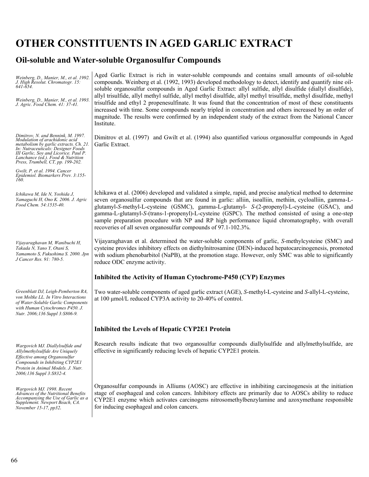# **OTHER CONSTITUENTS IN AGED GARLIC EXTRACT**

# **Oil-soluble and Water-soluble Organosulfur Compounds**

| Weinberg, D., Manier, M., et al. 1992.<br>J. High Resolut. Chromatogr. 15:<br>641-654.<br>Weinberg, D., Manier, M., et al. 1993.<br>J. Agric. Food Chem. 41: 37-41.                                                                                                     | Aged Garlic Extract is rich in water-soluble compounds and contains small amounts of oil-soluble<br>compounds. Weinberg et al. (1992, 1993) developed methodology to detect, identify and quantify nine oil-<br>soluble organosulfur compounds in Aged Garlic Extract: allyl sulfide, allyl disulfide (diallyl disulfide),<br>allyl trisulfide, allyl methyl sulfide, allyl methyl disulfide, allyl methyl trisulfide, methyl disulfide, methyl<br>trisulfide and ethyl 2 propenesulfinate. It was found that the concentration of most of these constituents<br>increased with time. Some compounds nearly tripled in concentration and others increased by an order of<br>magnitude. The results were confirmed by an independent study of the extract from the National Cancer<br>Institute. |
|-------------------------------------------------------------------------------------------------------------------------------------------------------------------------------------------------------------------------------------------------------------------------|-------------------------------------------------------------------------------------------------------------------------------------------------------------------------------------------------------------------------------------------------------------------------------------------------------------------------------------------------------------------------------------------------------------------------------------------------------------------------------------------------------------------------------------------------------------------------------------------------------------------------------------------------------------------------------------------------------------------------------------------------------------------------------------------------|
| Dimitrov, N. and Bennink, M. 1997.<br>Modulation of arachidonic acid<br>metabolism by garlic extracts. Ch. 21.<br>In: Nutraceuticals: Designer Foods<br>III Garlic, Sov and Licorice. Paul P.<br>Lanchance (ed.). Food & Nutrition<br>Press, Trumbell, CT, pp. 199-202. | Dimitrov et al. (1997) and Gwilt et al. (1994) also quantified various organosulfur compounds in Aged<br>Garlic Extract.                                                                                                                                                                                                                                                                                                                                                                                                                                                                                                                                                                                                                                                                        |
| Gwilt, P. et al. 1994. Cancer<br>Epidemiol. Biomarkers Prev. 3:155-<br>160.                                                                                                                                                                                             |                                                                                                                                                                                                                                                                                                                                                                                                                                                                                                                                                                                                                                                                                                                                                                                                 |
| Ichikawa M, Ide N, Yoshida J,<br>Yamaguchi H, Ono K. 2006. J. Agric<br>Food Chem. 54:1535-40.                                                                                                                                                                           | Ichikawa et al. (2006) developed and validated a simple, rapid, and precise analytical method to determine<br>seven organosulfur compounds that are found in garlic: alliin, isoalliin, methiin, cycloalliin, gamma-L-<br>glutamyl-S-methyl-L-cysteine (GSMC), gamma-L-glutamyl- S-(2-propenyl)-L-cysteine (GSAC), and<br>gamma-L-glutamyl-S-(trans-1-propenyl)-L-cysteine (GSPC). The method consisted of using a one-step<br>sample preparation procedure with NP and RP high performance liquid chromatography, with overall<br>recoveries of all seven organosulfur compounds of 97.1-102.3%.                                                                                                                                                                                               |
| Vijayaraghavan M, Wanibuchi H,<br>Takada N, Yano Y, Otani S,<br>Yamamoto S, Fukushima S. 2000. Jpn<br>J Cancer Res. 91: 780-5.                                                                                                                                          | Vijayaraghavan et al. determined the water-soluble components of garlic, S-methylcysteine (SMC) and<br>cysteine provides inhibitory effects on diethylnitrosamine (DEN)-induced hepatocarcinogenesis, promoted<br>with sodium phenobarbitol (NaPB), at the promotion stage. However, only SMC was able to significantly<br>reduce ODC enzyme activity.                                                                                                                                                                                                                                                                                                                                                                                                                                          |
|                                                                                                                                                                                                                                                                         | Inhibited the Activity of Human Cytochrome-P450 (CYP) Enzymes                                                                                                                                                                                                                                                                                                                                                                                                                                                                                                                                                                                                                                                                                                                                   |
| Greenblatt DJ, Leigh-Pemberton RA,<br>von Moltke LL. In Vitro Interactions<br>of Water-Soluble Garlic Components<br>with Human Cytochromes P450. J.<br>Nutr. 2006;136 Suppl 3:S806-9.                                                                                   | Two water-soluble components of aged garlic extract (AGE), S-methyl-L-cysteine and S-allyl-L-cysteine,<br>at 100 µmol/L reduced CYP3A activity to 20-40% of control.                                                                                                                                                                                                                                                                                                                                                                                                                                                                                                                                                                                                                            |
|                                                                                                                                                                                                                                                                         | <b>Inhibited the Levels of Hepatic CYP2E1 Protein</b>                                                                                                                                                                                                                                                                                                                                                                                                                                                                                                                                                                                                                                                                                                                                           |
| Wargovich MJ. Diallylsulfide and<br>Allylmethylsulfide Are Uniquely<br>Effective among Organosulfur<br>Compounds in Inhibiting CYP2E1<br>Protein in Animal Models. J. Nutr.<br>2006;136 Suppl 3:S832-4.                                                                 | Research results indicate that two organosulfur compounds diallylsulfide and allylmethylsulfide, are<br>effective in significantly reducing levels of hepatic CYP2E1 protein.                                                                                                                                                                                                                                                                                                                                                                                                                                                                                                                                                                                                                   |
| Wargovich MJ. 1998. Recent<br>Advances of the Nutritional Benefits<br>Accompanying the Use of Garlic as a<br>Supplement. Newport Beach, CA.<br>November 15-17, pp32.                                                                                                    | Organosulfur compounds in Alliums (AOSC) are effective in inhibiting carcinogenesis at the initiation<br>stage of esophageal and colon cancers. Inhibitory effects are primarily due to AOSCs ability to reduce<br>CYP2E1 enzyme which activates carcinogens nitrosomethylbenzylamine and azoxymethane responsible<br>for inducing esophageal and colon cancers.                                                                                                                                                                                                                                                                                                                                                                                                                                |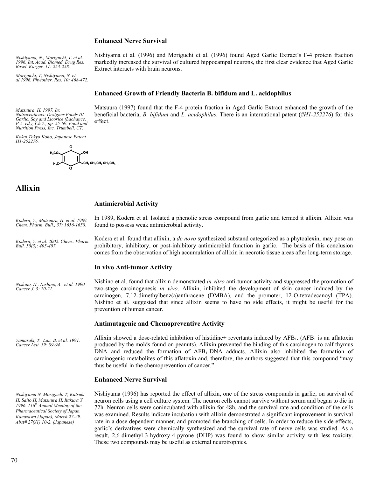# **Enhanced Nerve Survival**

*Nishiyama, N., Moriguchi, T. et al. 1996. Int. Acad. Biomed. Drug Res. Basel. Karger. 11: 253-258.* 

*Moriguchi, T, Nishiyama, N. et al.1996. Phytother. Res. 10: 468-472.* 

*Matsuura, H. 1997. In: Nutraceuticals: Designer Foods III Garlic, Soy and Licorice (Lachance, P.A. ed.), Ch 7., pp. 55-69. Food and Nutrition Press, Inc. Trumbell, CT.* 

*Kokai Tokyo Koho, Japanese Patent H1-252276.* 



# **Allixin**

Nishiyama et al. (1996) and Moriguchi et al. (1996) found Aged Garlic Extract's F-4 protein fraction markedly increased the survival of cultured hippocampal neurons, the first clear evidence that Aged Garlic Extract interacts with brain neurons.

### **Enhanced Growth of Friendly Bacteria B. bifidum and L. acidophilus**

Matsuura (1997) found that the F-4 protein fraction in Aged Garlic Extract enhanced the growth of the beneficial bacteria, *B. bifidum* and *L. acidophilus*. There is an international patent (*#H1-252276*) for this effect.

## **Antimicrobial Activity**

*Kodera, Y., Matsuura, H. et al. 1989. Chem. Pharm. Bull., 37: 1656-1658.*  In 1989, Kodera et al. Isolated a phenolic stress compound from garlic and termed it allixin. Allixin was found to possess weak antimicrobial activity.

*Kodera, Y. et al. 2002. Chem.. Pharm. Bull. 50(3); 405-407.*  Kodera et al. found that allixin, a *de novo* synthesized substand categorized as a phytoalexin, may pose an prohibitory, inhibitory, or post-inhibitory antimicrobial function in garlic. The basis of this conclusion comes from the observation of high accumulation of allixin in necrotic tissue areas after long-term storage.

#### **In vivo Anti-tumor Activity**

*Nishino, H., Nishino, A., et al. 1990. Cancer J. 3: 20-21.*  Nishino et al. found that allixin demonstrated *in vitro* anti-tumor activity and suppressed the promotion of two-stage carcinogenesis *in vivo*. Allixin, inhibited the development of skin cancer induced by the carcinogen, 7,12-dimethylbenz(a)anthracene (DMBA), and the promoter, 12-O-tetradecanoyl (TPA). Nishino et al. suggested that since allixin seems to have no side effects, it might be useful for the prevention of human cancer.

#### **Antimutagenic and Chemopreventive Activity**

*Yamasaki, T., Lau, B. et al. 1991. Cancer Lett. 59: 89-94.*  Allixin showed a dose-related inhibition of histidine+ revertants induced by  $AFB<sub>1</sub>$ . (AFB<sub>1</sub> is an aflatoxin produced by the molds found on peanuts). Allixin prevented the binding of this carcinogen to calf thymus DNA and reduced the formation of AFB1-DNA adducts. Allixin also inhibited the formation of carcinogenic metabolites of this aflatoxin and, therefore, the authors suggested that this compound "may thus be useful in the chemoprevention of cancer."

#### **Enhanced Nerve Survival**

*Nishiyama N, Moriguchi T, Katsuki H, Saito H, Matsuura H, Itakura Y. 1996. 116th Annual Meeting of the Pharmaceutical Society of Japan, Kanazawa (Japan), March 27-29. Abst# 27(J1) 10-2. (Japanese)* 

Nishiyama (1996) has reported the effect of allixin, one of the stress compounds in garlic, on survival of neuron cells using a cell culture system. The neuron cells cannot survive without serum and began to die in 72h. Neuron cells were conincubated with allixin for 48h, and the survival rate and condition of the cells was examined. Results indicate incubation with allixin demonstrated a significant improvement in survival rate in a dose dependent manner, and promoted the branching of cells. In order to reduce the side effects, garlic's derivatives were chemically synthesized and the survival rate of nerve cells was studied. As a result, 2,6-dimethyl-3-hydroxy-4-pyrone (DHP) was found to show similar activity with less toxicity. These two compounds may be useful as external neurotrophics.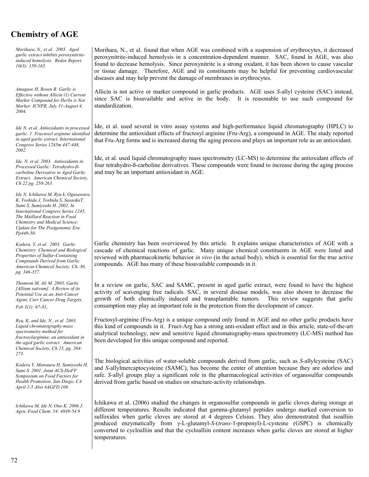# **Chemistry of AGE**

*Morihara, N., et al. 2005. Aged garlic extract inhibits peroxynitriteinduced hemolysis. Redox Report. 10(3): 159-165.* 

*Amagase H, Rosen R. Garlic is Effective without Allicin (1) Current Marker Compound for Herbs is Not Marker. ICNPR, July 31-August 4, 2004.* 

*Ide N, et al. Antioxidants in processed garlic. 1. Fructosyl arginine identified in aged garlic extract. International Congress Series 1245m 447-448, 2002.* 

*Ide, N, et al. 2003. Antioxidants in Processed Garlic: Tetrahydro-ßcarboline Derivative in Aged Garlic Extract. American Chemical Society, Ch 22 pg. 250-263.* 

*Ide N, Ichikawa M, Ryu k, Ogasawara K, Yoshida J, Yoshida S, SasaokaT, Sumi S, Sumiyoshi H. 2002. In International Congress Series 1245, The Maillard Reaction in Food Chemistry and Medical Science: Update for The Postgenomic Era. Pp449-50.* 

*Kodera, Y, et al. 2003. Garlic Chemistry: Chemical and Biological Properties of Sulfur-Containing Compounds Derived from Garlic. American Chemical Society, Ch. 30, pg. 346-357.* 

*Thomson M, Ali M. 2003. Garlic [Allium sativum]: A Review of its Potential Use as an Anti-Cancer Agent, Curr Cancer Drug Targets, Feb 3(1): 67-81.* 

*Ryu, K, and Ide, N., et al 2003. Liquid chromatography-mass spectrometry method for fructosylarginine, an antioxidant in the aged garlic extract. American Chemical Society, Ch 23, pg. 264- 273.* 

*Kodera Y, Matsuura H, Sumiyoshi H, Sumi S. 2001. Joint ACS-ISoFF Symposium on Food Factors for Health Promotion. San Diego, CA April 1-5 Abst #AGFD 108.* 

*Ichikawa M, Ide N, Ono K. 2006 J. Agric Food Chem. 54: 4849-54 9* 

Morihara, N., et al. found that when AGE was combined with a suspension of erythrocytes, it decreased peroxynitrite-induced hemolysis in a concentration-dependent manner. SAC, found in AGE, was also found to decrease hemolysis. Since peroxynitrite is a strong oxidant, it has been shown to cause vascular or tissue damage. Therefore, AGE and its constituents may be helpful for preventing cardiovascular diseases and may help prevent the damage of membranes in erythrocytes.

Allicin is not active or marker compound in garlic products. AGE uses *S-*allyl cysteine (SAC) instead, since SAC is bioavailable and active in the body. It is reasonable to use such compound for standardization.

Ide, et al. used several in vitro assay systems and high-performance liquid chromatography (HPLC) to determine the antioxidant effects of fructosyl arginine (Fru-Arg), a compound in AGE. The study reported that Fru-Arg forms and is increased during the aging process and plays an important role as an antioxidant.

Ide, et al. used liquid chromatography mass spectrometry (LC-MS) to determine the antioxidant effects of four tetrahydro-ß-carboline derivatives. These compounds were found to increase during the aging process and may be an important antioxidant in AGE.

Garlic chemistry has been overviewed by this article. It explains unique characteristics of AGE with a cascade of chemical reactions of garlic. Many unique chemical constituents in AGE were listed and reviewed with pharmacokinetic behavior *in vivo* (in the actual body), which is essential for the true active compounds. AGE has many of these bioavailable compounds in it.

In a review on garlic, SAC and SAMC, present in aged garlic extract, were found to have the highest activity of scavenging free radicals. SAC, in several disease models, was also shown to decrease the growth of both chemically induced and transplantable tumors. This review suggests that garlic consumption may play an important role in the protection from the development of cancer.

Fructosyl-arginine (Fru-Arg) is a unique compound only found in AGE and no other garlic products have this kind of compounds in it. Fruct-Arg has a strong anti-oxidant effect and in this article, state-of-the-art analytical technology, new and sensitive liquid chromatography-mass spectrometry (LC-MS) method has been developed for this unique compound and reported.

The biological activities of water-soluble compounds derived from garlic, such as *S-*allylcysteine (SAC) and *S-*allylmercaptocysteine (SAMC), has become the center of attention because they are odorless and safe. *S-*allyl groups play a significant role in the pharmacological activities of organosulfur compounds derived from garlic based on studies on structure-activity relationships.

Ichikawa et al. (2006) studied the changes in organosulfur compounds in garlic cloves during storage at different temperatures. Results indicated that gamma-glutamyl peptides undergo marked conversion to sulfoxides when garlic cloves are stored at 4 degrees Celsius. They also demonstrated that isoalliin produced enzymatically from γ-L-glutamyl-*S-*(*trans-*1-propenyl)-L-cysteine (GSPC) is chemically converted to cycloalliin and that the cycloalliin content increases when garlic cloves are stored at higher temperatures.